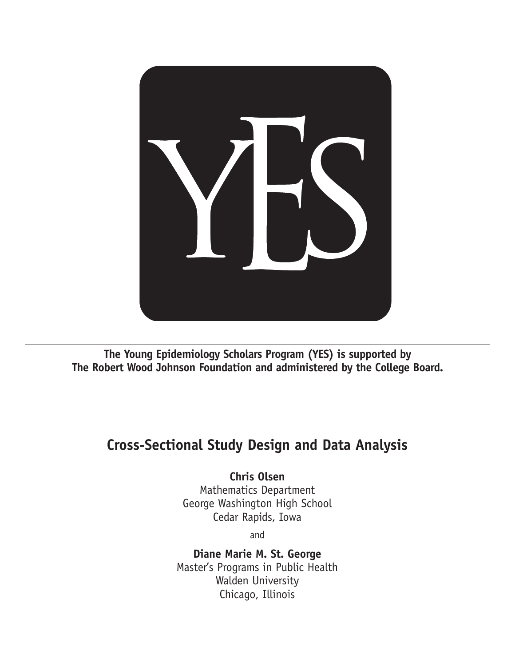

**The Young Epidemiology Scholars Program (YES) is supported by The Robert Wood Johnson Foundation and administered by the College Board.**

## **Cross-Sectional Study Design and Data Analysis**

## **Chris Olsen**

Mathematics Department George Washington High School Cedar Rapids, Iowa

and

**Diane Marie M. St. George** Master's Programs in Public Health Walden University Chicago, Illinois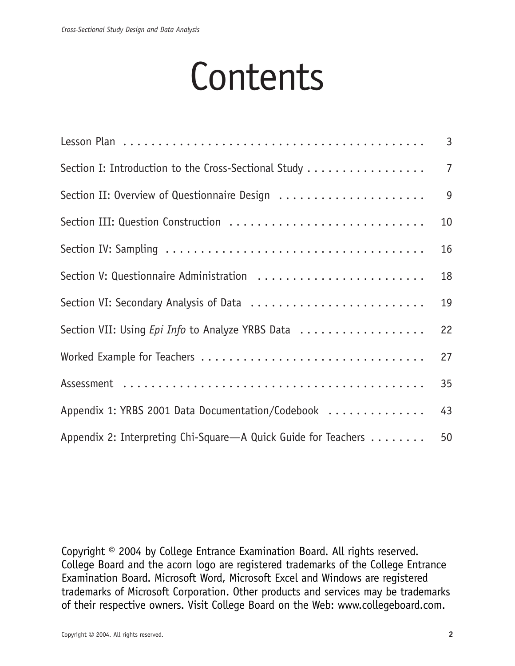# **Contents**

|                                                                | $\overline{3}$ |
|----------------------------------------------------------------|----------------|
| Section I: Introduction to the Cross-Sectional Study           | $\overline{7}$ |
| Section II: Overview of Questionnaire Design                   | 9              |
| Section III: Question Construction                             | 10             |
|                                                                | 16             |
|                                                                | 18             |
| Section VI: Secondary Analysis of Data                         | 19             |
| Section VII: Using Epi Info to Analyze YRBS Data               | 22             |
|                                                                | 27             |
|                                                                | 35             |
| Appendix 1: YRBS 2001 Data Documentation/Codebook              | 43             |
| Appendix 2: Interpreting Chi-Square—A Quick Guide for Teachers | 50             |

Copyright © 2004 by College Entrance Examination Board. All rights reserved. College Board and the acorn logo are registered trademarks of the College Entrance Examination Board. Microsoft Word, Microsoft Excel and Windows are registered trademarks of Microsoft Corporation. Other products and services may be trademarks of their respective owners. Visit College Board on the Web: www.collegeboard.com.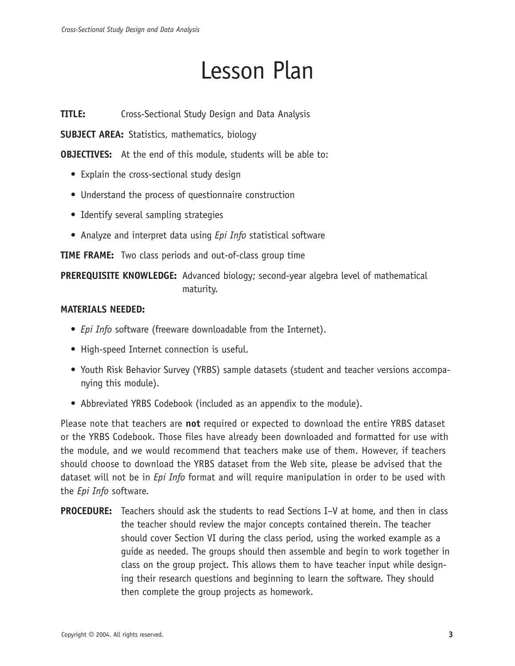## Lesson Plan

**TITLE:** Cross-Sectional Study Design and Data Analysis

**SUBJECT AREA:** Statistics, mathematics, biology

**OBJECTIVES:** At the end of this module, students will be able to:

- Explain the cross-sectional study design
- Understand the process of questionnaire construction
- Identify several sampling strategies
- Analyze and interpret data using *Epi Info* statistical software

**TIME FRAME:** Two class periods and out-of-class group time

**PREREQUISITE KNOWLEDGE:** Advanced biology; second-year algebra level of mathematical maturity.

### **MATERIALS NEEDED:**

- *Epi Info* software (freeware downloadable from the Internet).
- High-speed Internet connection is useful.
- Youth Risk Behavior Survey (YRBS) sample datasets (student and teacher versions accompanying this module).
- Abbreviated YRBS Codebook (included as an appendix to the module).

Please note that teachers are **not** required or expected to download the entire YRBS dataset or the YRBS Codebook. Those files have already been downloaded and formatted for use with the module, and we would recommend that teachers make use of them. However, if teachers should choose to download the YRBS dataset from the Web site, please be advised that the dataset will not be in *Epi Info* format and will require manipulation in order to be used with the *Epi Info* software.

**PROCEDURE:** Teachers should ask the students to read Sections I–V at home, and then in class the teacher should review the major concepts contained therein. The teacher should cover Section VI during the class period, using the worked example as a guide as needed. The groups should then assemble and begin to work together in class on the group project. This allows them to have teacher input while designing their research questions and beginning to learn the software. They should then complete the group projects as homework.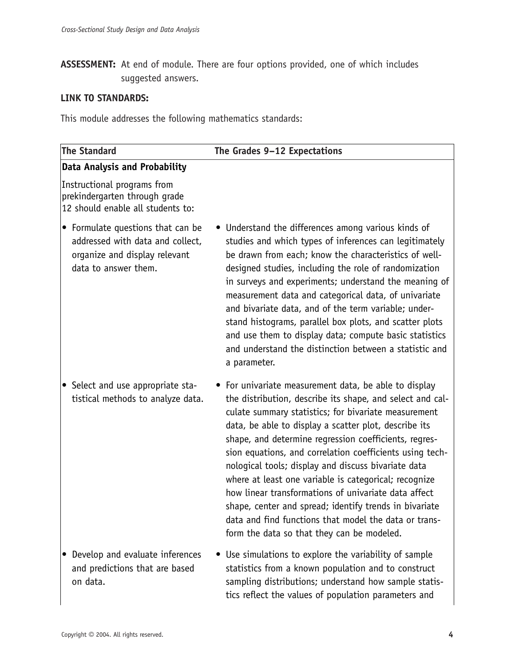**ASSESSMENT:** At end of module. There are four options provided, one of which includes suggested answers.

## **LINK TO STANDARDS:**

This module addresses the following mathematics standards:

| <b>The Standard</b>                                                                                                            | The Grades 9-12 Expectations                                                                                                                                                                                                                                                                                                                                                                                                                                                                                                                                                                                                                                                                      |
|--------------------------------------------------------------------------------------------------------------------------------|---------------------------------------------------------------------------------------------------------------------------------------------------------------------------------------------------------------------------------------------------------------------------------------------------------------------------------------------------------------------------------------------------------------------------------------------------------------------------------------------------------------------------------------------------------------------------------------------------------------------------------------------------------------------------------------------------|
| Data Analysis and Probability                                                                                                  |                                                                                                                                                                                                                                                                                                                                                                                                                                                                                                                                                                                                                                                                                                   |
| Instructional programs from<br>prekindergarten through grade<br>12 should enable all students to:                              |                                                                                                                                                                                                                                                                                                                                                                                                                                                                                                                                                                                                                                                                                                   |
| • Formulate questions that can be<br>addressed with data and collect,<br>organize and display relevant<br>data to answer them. | • Understand the differences among various kinds of<br>studies and which types of inferences can legitimately<br>be drawn from each; know the characteristics of well-<br>designed studies, including the role of randomization<br>in surveys and experiments; understand the meaning of<br>measurement data and categorical data, of univariate<br>and bivariate data, and of the term variable; under-<br>stand histograms, parallel box plots, and scatter plots<br>and use them to display data; compute basic statistics<br>and understand the distinction between a statistic and<br>a parameter.                                                                                           |
| • Select and use appropriate sta-<br>tistical methods to analyze data.                                                         | • For univariate measurement data, be able to display<br>the distribution, describe its shape, and select and cal-<br>culate summary statistics; for bivariate measurement<br>data, be able to display a scatter plot, describe its<br>shape, and determine regression coefficients, regres-<br>sion equations, and correlation coefficients using tech-<br>nological tools; display and discuss bivariate data<br>where at least one variable is categorical; recognize<br>how linear transformations of univariate data affect<br>shape, center and spread; identify trends in bivariate<br>data and find functions that model the data or trans-<br>form the data so that they can be modeled. |
| Develop and evaluate inferences<br>and predictions that are based<br>on data.                                                  | • Use simulations to explore the variability of sample<br>statistics from a known population and to construct<br>sampling distributions; understand how sample statis-<br>tics reflect the values of population parameters and                                                                                                                                                                                                                                                                                                                                                                                                                                                                    |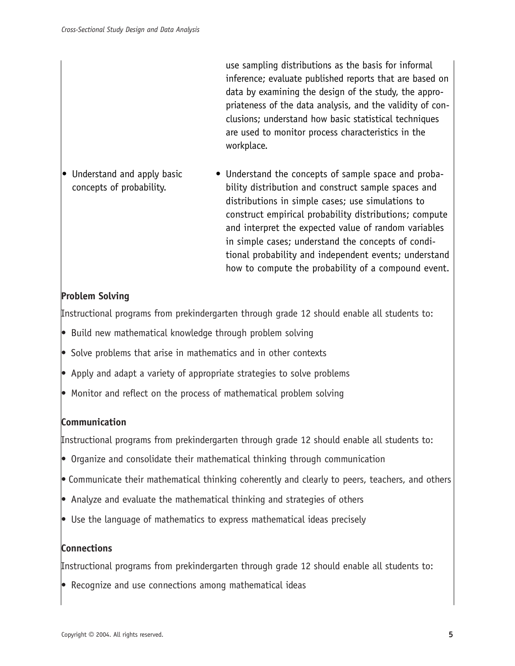use sampling distributions as the basis for informal inference; evaluate published reports that are based on data by examining the design of the study, the appropriateness of the data analysis, and the validity of conclusions; understand how basic statistical techniques are used to monitor process characteristics in the workplace.

• Understand the concepts of sample space and probability distribution and construct sample spaces and distributions in simple cases; use simulations to construct empirical probability distributions; compute and interpret the expected value of random variables in simple cases; understand the concepts of conditional probability and independent events; understand how to compute the probability of a compound event. • Understand and apply basic concepts of probability.

## **Problem Solving**

Instructional programs from prekindergarten through grade 12 should enable all students to:

- Build new mathematical knowledge through problem solving
- Solve problems that arise in mathematics and in other contexts
- Apply and adapt a variety of appropriate strategies to solve problems
- Monitor and reflect on the process of mathematical problem solving

### **Communication**

Instructional programs from prekindergarten through grade 12 should enable all students to:

- Organize and consolidate their mathematical thinking through communication
- Communicate their mathematical thinking coherently and clearly to peers, teachers, and others
- Analyze and evaluate the mathematical thinking and strategies of others
- Use the language of mathematics to express mathematical ideas precisely

### **Connections**

Instructional programs from prekindergarten through grade 12 should enable all students to:

• Recognize and use connections among mathematical ideas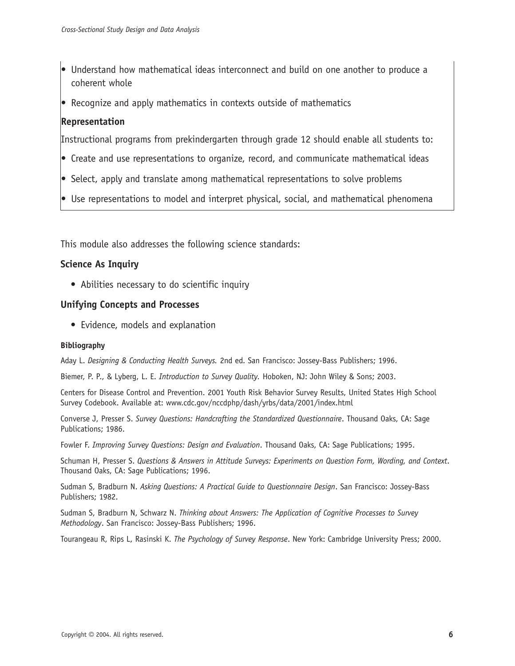- Understand how mathematical ideas interconnect and build on one another to produce a coherent whole
- Recognize and apply mathematics in contexts outside of mathematics

## **Representation**

Instructional programs from prekindergarten through grade 12 should enable all students to:

- Create and use representations to organize, record, and communicate mathematical ideas
- Select, apply and translate among mathematical representations to solve problems
- Use representations to model and interpret physical, social, and mathematical phenomena

This module also addresses the following science standards:

### **Science As Inquiry**

• Abilities necessary to do scientific inquiry

### **Unifying Concepts and Processes**

• Evidence, models and explanation

### **Bibliography**

Aday L. *Designing & Conducting Health Surveys.* 2nd ed. San Francisco: Jossey-Bass Publishers; 1996.

Biemer, P. P., & Lyberg, L. E. *Introduction to Survey Quality.* Hoboken, NJ: John Wiley & Sons; 2003.

Centers for Disease Control and Prevention. 2001 Youth Risk Behavior Survey Results, United States High School Survey Codebook. Available at: www.cdc.gov/nccdphp/dash/yrbs/data/2001/index.html

Converse J, Presser S. *Survey Questions: Handcrafting the Standardized Questionnaire*. Thousand Oaks, CA: Sage Publications; 1986.

Fowler F. *Improving Survey Questions: Design and Evaluation*. Thousand Oaks, CA: Sage Publications; 1995.

Schuman H, Presser S. *Questions & Answers in Attitude Surveys: Experiments on Question Form, Wording, and Context*. Thousand Oaks, CA: Sage Publications; 1996.

Sudman S, Bradburn N. *Asking Questions: A Practical Guide to Questionnaire Design*. San Francisco: Jossey-Bass Publishers; 1982.

Sudman S, Bradburn N, Schwarz N. *Thinking about Answers: The Application of Cognitive Processes to Survey Methodology*. San Francisco: Jossey-Bass Publishers; 1996.

Tourangeau R, Rips L, Rasinski K. *The Psychology of Survey Response*. New York: Cambridge University Press; 2000.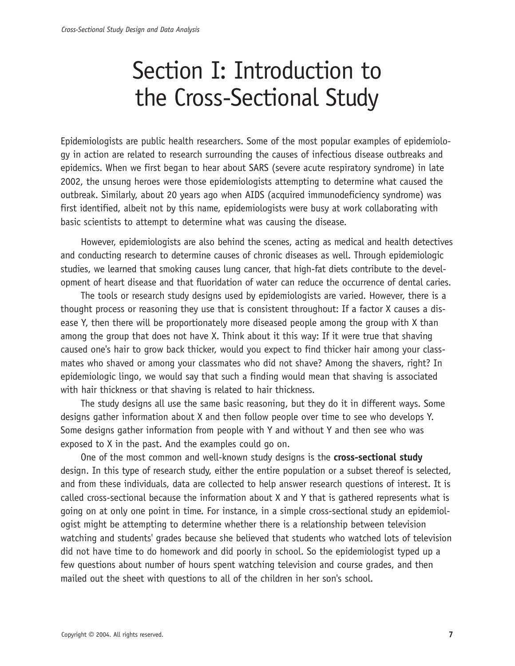# Section I: Introduction to the Cross-Sectional Study

Epidemiologists are public health researchers. Some of the most popular examples of epidemiology in action are related to research surrounding the causes of infectious disease outbreaks and epidemics. When we first began to hear about SARS (severe acute respiratory syndrome) in late 2002, the unsung heroes were those epidemiologists attempting to determine what caused the outbreak. Similarly, about 20 years ago when AIDS (acquired immunodeficiency syndrome) was first identified, albeit not by this name, epidemiologists were busy at work collaborating with basic scientists to attempt to determine what was causing the disease.

However, epidemiologists are also behind the scenes, acting as medical and health detectives and conducting research to determine causes of chronic diseases as well. Through epidemiologic studies, we learned that smoking causes lung cancer, that high-fat diets contribute to the development of heart disease and that fluoridation of water can reduce the occurrence of dental caries.

The tools or research study designs used by epidemiologists are varied. However, there is a thought process or reasoning they use that is consistent throughout: If a factor X causes a disease Y, then there will be proportionately more diseased people among the group with X than among the group that does not have X. Think about it this way: If it were true that shaving caused one's hair to grow back thicker, would you expect to find thicker hair among your classmates who shaved or among your classmates who did not shave? Among the shavers, right? In epidemiologic lingo, we would say that such a finding would mean that shaving is associated with hair thickness or that shaving is related to hair thickness.

The study designs all use the same basic reasoning, but they do it in different ways. Some designs gather information about X and then follow people over time to see who develops Y. Some designs gather information from people with Y and without Y and then see who was exposed to X in the past. And the examples could go on.

One of the most common and well-known study designs is the **cross-sectional study** design. In this type of research study, either the entire population or a subset thereof is selected, and from these individuals, data are collected to help answer research questions of interest. It is called cross-sectional because the information about X and Y that is gathered represents what is going on at only one point in time. For instance, in a simple cross-sectional study an epidemiologist might be attempting to determine whether there is a relationship between television watching and students' grades because she believed that students who watched lots of television did not have time to do homework and did poorly in school. So the epidemiologist typed up a few questions about number of hours spent watching television and course grades, and then mailed out the sheet with questions to all of the children in her son's school.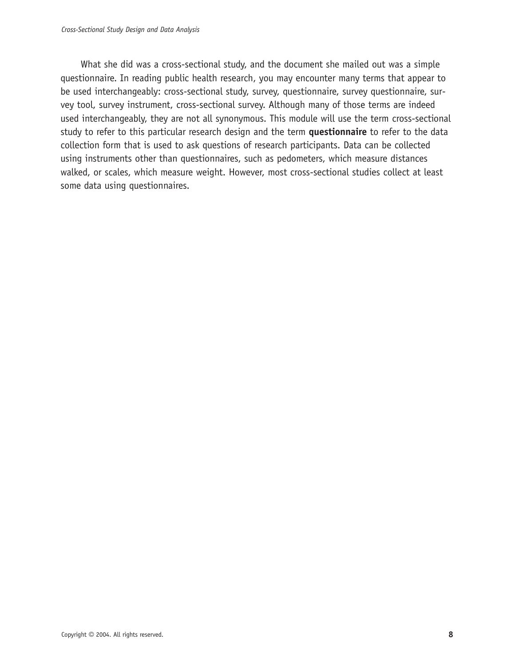What she did was a cross-sectional study, and the document she mailed out was a simple questionnaire. In reading public health research, you may encounter many terms that appear to be used interchangeably: cross-sectional study, survey, questionnaire, survey questionnaire, survey tool, survey instrument, cross-sectional survey. Although many of those terms are indeed used interchangeably, they are not all synonymous. This module will use the term cross-sectional study to refer to this particular research design and the term **questionnaire** to refer to the data collection form that is used to ask questions of research participants. Data can be collected using instruments other than questionnaires, such as pedometers, which measure distances walked, or scales, which measure weight. However, most cross-sectional studies collect at least some data using questionnaires.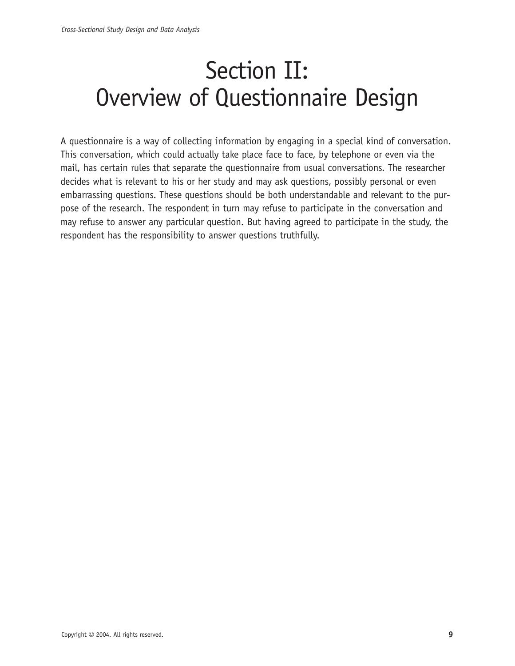# Section II: Overview of Questionnaire Design

A questionnaire is a way of collecting information by engaging in a special kind of conversation. This conversation, which could actually take place face to face, by telephone or even via the mail, has certain rules that separate the questionnaire from usual conversations. The researcher decides what is relevant to his or her study and may ask questions, possibly personal or even embarrassing questions. These questions should be both understandable and relevant to the purpose of the research. The respondent in turn may refuse to participate in the conversation and may refuse to answer any particular question. But having agreed to participate in the study, the respondent has the responsibility to answer questions truthfully.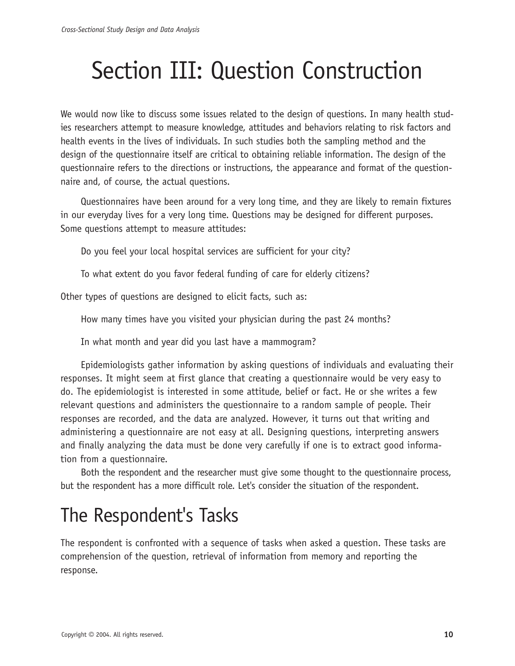# Section III: Question Construction

We would now like to discuss some issues related to the design of questions. In many health studies researchers attempt to measure knowledge, attitudes and behaviors relating to risk factors and health events in the lives of individuals. In such studies both the sampling method and the design of the questionnaire itself are critical to obtaining reliable information. The design of the questionnaire refers to the directions or instructions, the appearance and format of the questionnaire and, of course, the actual questions.

Questionnaires have been around for a very long time, and they are likely to remain fixtures in our everyday lives for a very long time. Questions may be designed for different purposes. Some questions attempt to measure attitudes:

Do you feel your local hospital services are sufficient for your city?

To what extent do you favor federal funding of care for elderly citizens?

Other types of questions are designed to elicit facts, such as:

How many times have you visited your physician during the past 24 months?

In what month and year did you last have a mammogram?

Epidemiologists gather information by asking questions of individuals and evaluating their responses. It might seem at first glance that creating a questionnaire would be very easy to do. The epidemiologist is interested in some attitude, belief or fact. He or she writes a few relevant questions and administers the questionnaire to a random sample of people. Their responses are recorded, and the data are analyzed. However, it turns out that writing and administering a questionnaire are not easy at all. Designing questions, interpreting answers and finally analyzing the data must be done very carefully if one is to extract good information from a questionnaire.

Both the respondent and the researcher must give some thought to the questionnaire process, but the respondent has a more difficult role. Let's consider the situation of the respondent.

## The Respondent's Tasks

The respondent is confronted with a sequence of tasks when asked a question. These tasks are comprehension of the question, retrieval of information from memory and reporting the response.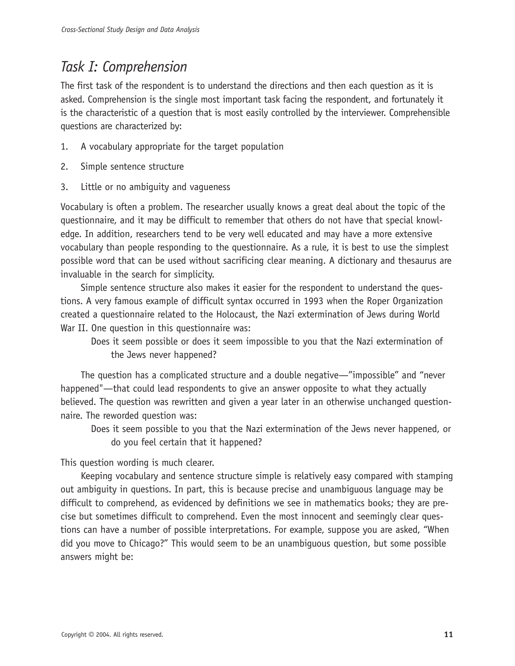## *Task I: Comprehension*

The first task of the respondent is to understand the directions and then each question as it is asked. Comprehension is the single most important task facing the respondent, and fortunately it is the characteristic of a question that is most easily controlled by the interviewer. Comprehensible questions are characterized by:

- 1. A vocabulary appropriate for the target population
- 2. Simple sentence structure
- 3. Little or no ambiguity and vagueness

Vocabulary is often a problem. The researcher usually knows a great deal about the topic of the questionnaire, and it may be difficult to remember that others do not have that special knowledge. In addition, researchers tend to be very well educated and may have a more extensive vocabulary than people responding to the questionnaire. As a rule, it is best to use the simplest possible word that can be used without sacrificing clear meaning. A dictionary and thesaurus are invaluable in the search for simplicity.

Simple sentence structure also makes it easier for the respondent to understand the questions. A very famous example of difficult syntax occurred in 1993 when the Roper Organization created a questionnaire related to the Holocaust, the Nazi extermination of Jews during World War II. One question in this questionnaire was:

Does it seem possible or does it seem impossible to you that the Nazi extermination of the Jews never happened?

The question has a complicated structure and a double negative—"impossible" and "never happened"—that could lead respondents to give an answer opposite to what they actually believed. The question was rewritten and given a year later in an otherwise unchanged questionnaire. The reworded question was:

Does it seem possible to you that the Nazi extermination of the Jews never happened, or do you feel certain that it happened?

This question wording is much clearer.

Keeping vocabulary and sentence structure simple is relatively easy compared with stamping out ambiguity in questions. In part, this is because precise and unambiguous language may be difficult to comprehend, as evidenced by definitions we see in mathematics books; they are precise but sometimes difficult to comprehend. Even the most innocent and seemingly clear questions can have a number of possible interpretations. For example, suppose you are asked, "When did you move to Chicago?" This would seem to be an unambiguous question, but some possible answers might be: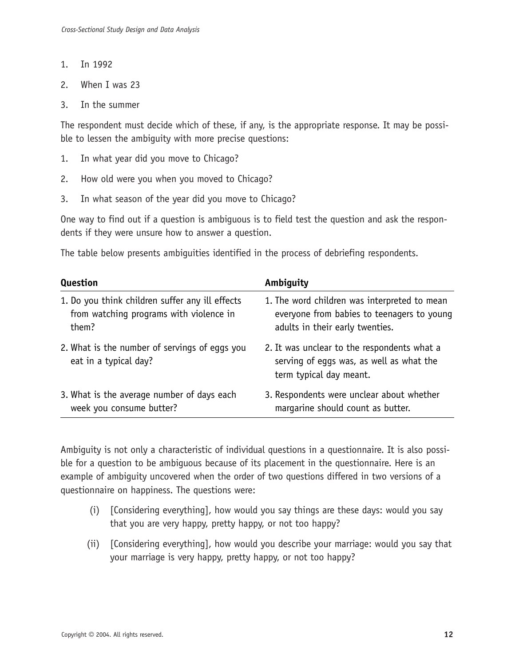- 1. In 1992
- 2. When I was 23
- 3. In the summer

The respondent must decide which of these, if any, is the appropriate response. It may be possible to lessen the ambiguity with more precise questions:

- 1. In what year did you move to Chicago?
- 2. How old were you when you moved to Chicago?
- 3. In what season of the year did you move to Chicago?

One way to find out if a question is ambiguous is to field test the question and ask the respondents if they were unsure how to answer a question.

The table below presents ambiguities identified in the process of debriefing respondents.

| Question                                                               | Ambiguity                                                                                                          |
|------------------------------------------------------------------------|--------------------------------------------------------------------------------------------------------------------|
| 1. Do you think children suffer any ill effects                        | 1. The word children was interpreted to mean                                                                       |
| from watching programs with violence in                                | everyone from babies to teenagers to young                                                                         |
| them?                                                                  | adults in their early twenties.                                                                                    |
| 2. What is the number of servings of eggs you<br>eat in a typical day? | 2. It was unclear to the respondents what a<br>serving of eggs was, as well as what the<br>term typical day meant. |
| 3. What is the average number of days each                             | 3. Respondents were unclear about whether                                                                          |
| week you consume butter?                                               | margarine should count as butter.                                                                                  |

Ambiguity is not only a characteristic of individual questions in a questionnaire. It is also possible for a question to be ambiguous because of its placement in the questionnaire. Here is an example of ambiguity uncovered when the order of two questions differed in two versions of a questionnaire on happiness. The questions were:

- (i) [Considering everything], how would you say things are these days: would you say that you are very happy, pretty happy, or not too happy?
- (ii) [Considering everything], how would you describe your marriage: would you say that your marriage is very happy, pretty happy, or not too happy?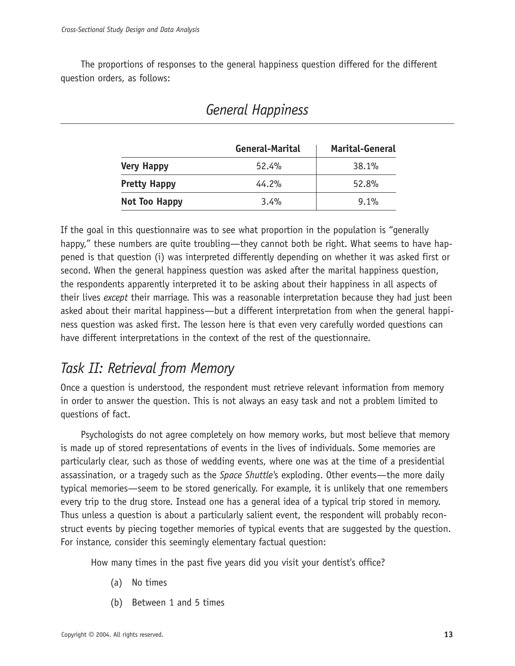The proportions of responses to the general happiness question differed for the different question orders, as follows:

|                     | General-Marital | <b>Marital-General</b> |
|---------------------|-----------------|------------------------|
| <b>Very Happy</b>   | 52.4%           | 38.1%                  |
| <b>Pretty Happy</b> | 44.2%           | 52.8%                  |
| Not Too Happy       | 3.4%            | $9.1\%$                |

## *General Happiness*

If the goal in this questionnaire was to see what proportion in the population is "generally happy," these numbers are quite troubling—they cannot both be right. What seems to have happened is that question (i) was interpreted differently depending on whether it was asked first or second. When the general happiness question was asked after the marital happiness question, the respondents apparently interpreted it to be asking about their happiness in all aspects of their lives *except* their marriage. This was a reasonable interpretation because they had just been asked about their marital happiness—but a different interpretation from when the general happiness question was asked first. The lesson here is that even very carefully worded questions can have different interpretations in the context of the rest of the questionnaire.

## *Task II: Retrieval from Memory*

Once a question is understood, the respondent must retrieve relevant information from memory in order to answer the question. This is not always an easy task and not a problem limited to questions of fact.

Psychologists do not agree completely on how memory works, but most believe that memory is made up of stored representations of events in the lives of individuals. Some memories are particularly clear, such as those of wedding events, where one was at the time of a presidential assassination, or a tragedy such as the *Space Shuttle'*s exploding. Other events—the more daily typical memories—seem to be stored generically. For example, it is unlikely that one remembers every trip to the drug store. Instead one has a general idea of a typical trip stored in memory. Thus unless a question is about a particularly salient event, the respondent will probably reconstruct events by piecing together memories of typical events that are suggested by the question. For instance, consider this seemingly elementary factual question:

How many times in the past five years did you visit your dentist's office?

- (a) No times
- (b) Between 1 and 5 times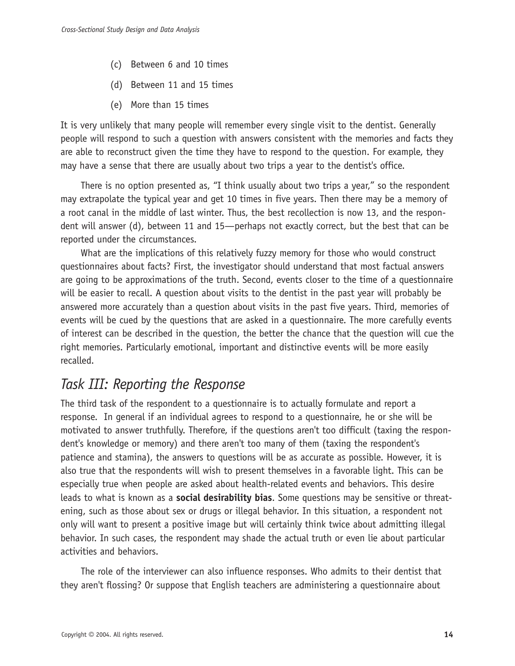- (c) Between 6 and 10 times
- (d) Between 11 and 15 times
- (e) More than 15 times

It is very unlikely that many people will remember every single visit to the dentist. Generally people will respond to such a question with answers consistent with the memories and facts they are able to reconstruct given the time they have to respond to the question. For example, they may have a sense that there are usually about two trips a year to the dentist's office.

There is no option presented as, "I think usually about two trips a year," so the respondent may extrapolate the typical year and get 10 times in five years. Then there may be a memory of a root canal in the middle of last winter. Thus, the best recollection is now 13, and the respondent will answer (d), between 11 and 15—perhaps not exactly correct, but the best that can be reported under the circumstances.

What are the implications of this relatively fuzzy memory for those who would construct questionnaires about facts? First, the investigator should understand that most factual answers are going to be approximations of the truth. Second, events closer to the time of a questionnaire will be easier to recall. A question about visits to the dentist in the past year will probably be answered more accurately than a question about visits in the past five years. Third, memories of events will be cued by the questions that are asked in a questionnaire. The more carefully events of interest can be described in the question, the better the chance that the question will cue the right memories. Particularly emotional, important and distinctive events will be more easily recalled.

## *Task III: Reporting the Response*

The third task of the respondent to a questionnaire is to actually formulate and report a response. In general if an individual agrees to respond to a questionnaire, he or she will be motivated to answer truthfully. Therefore, if the questions aren't too difficult (taxing the respondent's knowledge or memory) and there aren't too many of them (taxing the respondent's patience and stamina), the answers to questions will be as accurate as possible. However, it is also true that the respondents will wish to present themselves in a favorable light. This can be especially true when people are asked about health-related events and behaviors. This desire leads to what is known as a **social desirability bias**. Some questions may be sensitive or threatening, such as those about sex or drugs or illegal behavior. In this situation, a respondent not only will want to present a positive image but will certainly think twice about admitting illegal behavior. In such cases, the respondent may shade the actual truth or even lie about particular activities and behaviors.

The role of the interviewer can also influence responses. Who admits to their dentist that they aren't flossing? Or suppose that English teachers are administering a questionnaire about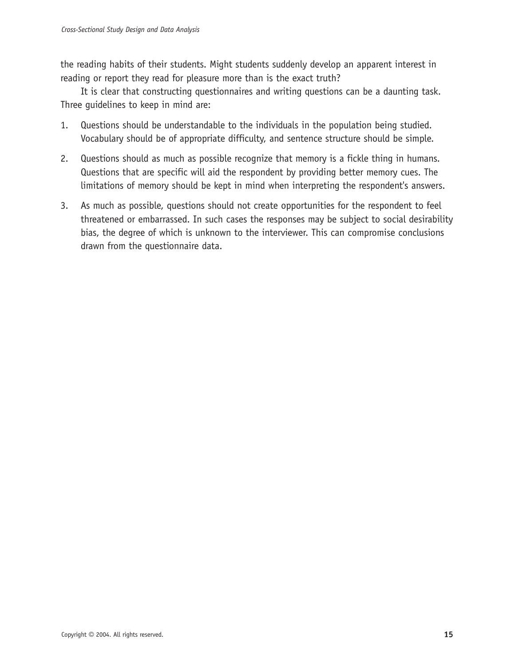the reading habits of their students. Might students suddenly develop an apparent interest in reading or report they read for pleasure more than is the exact truth?

It is clear that constructing questionnaires and writing questions can be a daunting task. Three guidelines to keep in mind are:

- 1. Questions should be understandable to the individuals in the population being studied. Vocabulary should be of appropriate difficulty, and sentence structure should be simple.
- 2. Questions should as much as possible recognize that memory is a fickle thing in humans. Questions that are specific will aid the respondent by providing better memory cues. The limitations of memory should be kept in mind when interpreting the respondent's answers.
- 3. As much as possible, questions should not create opportunities for the respondent to feel threatened or embarrassed. In such cases the responses may be subject to social desirability bias, the degree of which is unknown to the interviewer. This can compromise conclusions drawn from the questionnaire data.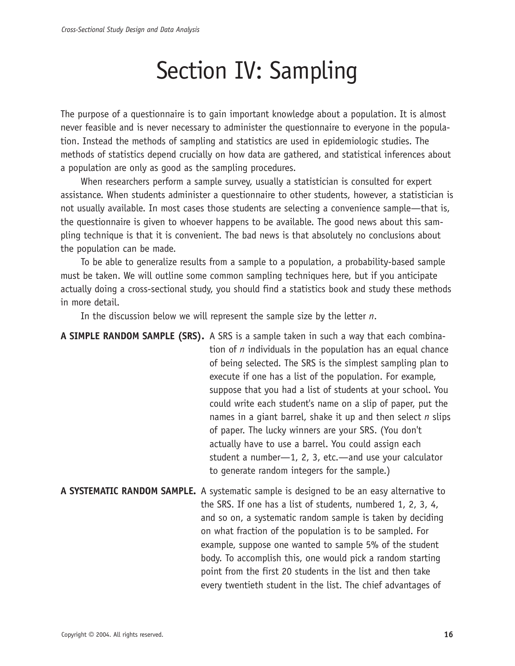# Section IV: Sampling

The purpose of a questionnaire is to gain important knowledge about a population. It is almost never feasible and is never necessary to administer the questionnaire to everyone in the population. Instead the methods of sampling and statistics are used in epidemiologic studies. The methods of statistics depend crucially on how data are gathered, and statistical inferences about a population are only as good as the sampling procedures.

When researchers perform a sample survey, usually a statistician is consulted for expert assistance. When students administer a questionnaire to other students, however, a statistician is not usually available. In most cases those students are selecting a convenience sample—that is, the questionnaire is given to whoever happens to be available. The good news about this sampling technique is that it is convenient. The bad news is that absolutely no conclusions about the population can be made.

To be able to generalize results from a sample to a population, a probability-based sample must be taken. We will outline some common sampling techniques here, but if you anticipate actually doing a cross-sectional study, you should find a statistics book and study these methods in more detail.

In the discussion below we will represent the sample size by the letter *n*.

**A SIMPLE RANDOM SAMPLE (SRS).** A SRS is a sample taken in such a way that each combination of *n* individuals in the population has an equal chance of being selected. The SRS is the simplest sampling plan to execute if one has a list of the population. For example, suppose that you had a list of students at your school. You could write each student's name on a slip of paper, put the names in a giant barrel, shake it up and then select *n* slips of paper. The lucky winners are your SRS. (You don't actually have to use a barrel. You could assign each student a number—1, 2, 3, etc.—and use your calculator to generate random integers for the sample.)

**A SYSTEMATIC RANDOM SAMPLE.** A systematic sample is designed to be an easy alternative to the SRS. If one has a list of students, numbered 1, 2, 3, 4, and so on, a systematic random sample is taken by deciding on what fraction of the population is to be sampled. For example, suppose one wanted to sample 5% of the student body. To accomplish this, one would pick a random starting point from the first 20 students in the list and then take every twentieth student in the list. The chief advantages of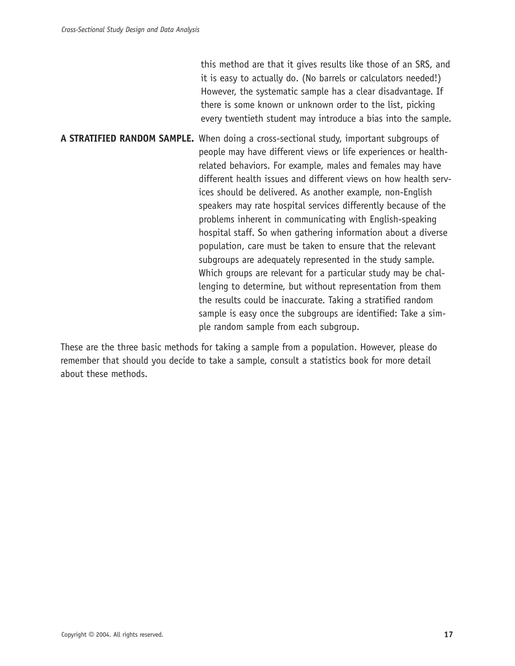this method are that it gives results like those of an SRS, and it is easy to actually do. (No barrels or calculators needed!) However, the systematic sample has a clear disadvantage. If there is some known or unknown order to the list, picking every twentieth student may introduce a bias into the sample.

**A STRATIFIED RANDOM SAMPLE.** When doing a cross-sectional study, important subgroups of people may have different views or life experiences or healthrelated behaviors. For example, males and females may have different health issues and different views on how health services should be delivered. As another example, non-English speakers may rate hospital services differently because of the problems inherent in communicating with English-speaking hospital staff. So when gathering information about a diverse population, care must be taken to ensure that the relevant subgroups are adequately represented in the study sample. Which groups are relevant for a particular study may be challenging to determine, but without representation from them the results could be inaccurate. Taking a stratified random sample is easy once the subgroups are identified: Take a simple random sample from each subgroup.

These are the three basic methods for taking a sample from a population. However, please do remember that should you decide to take a sample, consult a statistics book for more detail about these methods.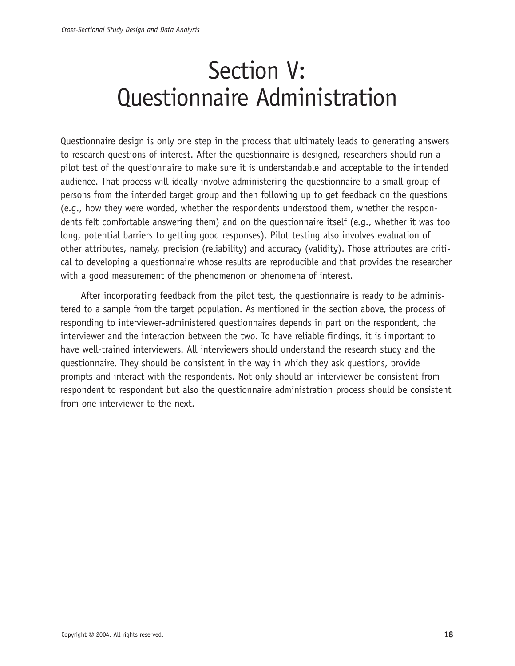# Section V: Questionnaire Administration

Questionnaire design is only one step in the process that ultimately leads to generating answers to research questions of interest. After the questionnaire is designed, researchers should run a pilot test of the questionnaire to make sure it is understandable and acceptable to the intended audience. That process will ideally involve administering the questionnaire to a small group of persons from the intended target group and then following up to get feedback on the questions (e.g., how they were worded, whether the respondents understood them, whether the respondents felt comfortable answering them) and on the questionnaire itself (e.g., whether it was too long, potential barriers to getting good responses). Pilot testing also involves evaluation of other attributes, namely, precision (reliability) and accuracy (validity). Those attributes are critical to developing a questionnaire whose results are reproducible and that provides the researcher with a good measurement of the phenomenon or phenomena of interest.

After incorporating feedback from the pilot test, the questionnaire is ready to be administered to a sample from the target population. As mentioned in the section above, the process of responding to interviewer-administered questionnaires depends in part on the respondent, the interviewer and the interaction between the two. To have reliable findings, it is important to have well-trained interviewers. All interviewers should understand the research study and the questionnaire. They should be consistent in the way in which they ask questions, provide prompts and interact with the respondents. Not only should an interviewer be consistent from respondent to respondent but also the questionnaire administration process should be consistent from one interviewer to the next.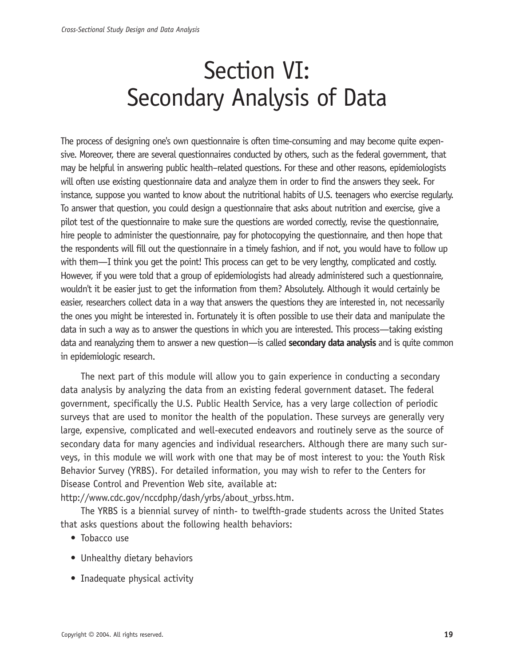# Section VI: Secondary Analysis of Data

The process of designing one's own questionnaire is often time-consuming and may become quite expensive. Moreover, there are several questionnaires conducted by others, such as the federal government, that may be helpful in answering public health–related questions. For these and other reasons, epidemiologists will often use existing questionnaire data and analyze them in order to find the answers they seek. For instance, suppose you wanted to know about the nutritional habits of U.S. teenagers who exercise regularly. To answer that question, you could design a questionnaire that asks about nutrition and exercise, give a pilot test of the questionnaire to make sure the questions are worded correctly, revise the questionnaire, hire people to administer the questionnaire, pay for photocopying the questionnaire, and then hope that the respondents will fill out the questionnaire in a timely fashion, and if not, you would have to follow up with them—I think you get the point! This process can get to be very lengthy, complicated and costly. However, if you were told that a group of epidemiologists had already administered such a questionnaire, wouldn't it be easier just to get the information from them? Absolutely. Although it would certainly be easier, researchers collect data in a way that answers the questions they are interested in, not necessarily the ones you might be interested in. Fortunately it is often possible to use their data and manipulate the data in such a way as to answer the questions in which you are interested. This process—taking existing data and reanalyzing them to answer a new question—is called **secondary data analysis** and is quite common in epidemiologic research.

The next part of this module will allow you to gain experience in conducting a secondary data analysis by analyzing the data from an existing federal government dataset. The federal government, specifically the U.S. Public Health Service, has a very large collection of periodic surveys that are used to monitor the health of the population. These surveys are generally very large, expensive, complicated and well-executed endeavors and routinely serve as the source of secondary data for many agencies and individual researchers. Although there are many such surveys, in this module we will work with one that may be of most interest to you: the Youth Risk Behavior Survey (YRBS). For detailed information, you may wish to refer to the Centers for Disease Control and Prevention Web site, available at:

http://www.cdc.gov/nccdphp/dash/yrbs/about\_yrbss.htm.

The YRBS is a biennial survey of ninth- to twelfth-grade students across the United States that asks questions about the following health behaviors:

- Tobacco use
- Unhealthy dietary behaviors
- Inadequate physical activity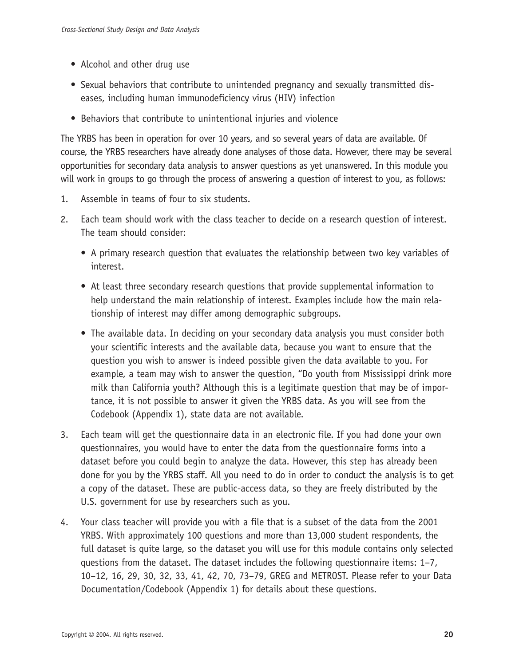- Alcohol and other drug use
- Sexual behaviors that contribute to unintended pregnancy and sexually transmitted diseases, including human immunodeficiency virus (HIV) infection
- Behaviors that contribute to unintentional injuries and violence

The YRBS has been in operation for over 10 years, and so several years of data are available. Of course, the YRBS researchers have already done analyses of those data. However, there may be several opportunities for secondary data analysis to answer questions as yet unanswered. In this module you will work in groups to go through the process of answering a question of interest to you, as follows:

- 1. Assemble in teams of four to six students.
- 2. Each team should work with the class teacher to decide on a research question of interest. The team should consider:
	- A primary research question that evaluates the relationship between two key variables of interest.
	- At least three secondary research questions that provide supplemental information to help understand the main relationship of interest. Examples include how the main relationship of interest may differ among demographic subgroups.
	- The available data. In deciding on your secondary data analysis you must consider both your scientific interests and the available data, because you want to ensure that the question you wish to answer is indeed possible given the data available to you. For example, a team may wish to answer the question, "Do youth from Mississippi drink more milk than California youth? Although this is a legitimate question that may be of importance, it is not possible to answer it given the YRBS data. As you will see from the Codebook (Appendix 1), state data are not available.
- 3. Each team will get the questionnaire data in an electronic file. If you had done your own questionnaires, you would have to enter the data from the questionnaire forms into a dataset before you could begin to analyze the data. However, this step has already been done for you by the YRBS staff. All you need to do in order to conduct the analysis is to get a copy of the dataset. These are public-access data, so they are freely distributed by the U.S. government for use by researchers such as you.
- 4. Your class teacher will provide you with a file that is a subset of the data from the 2001 YRBS. With approximately 100 questions and more than 13,000 student respondents, the full dataset is quite large, so the dataset you will use for this module contains only selected questions from the dataset. The dataset includes the following questionnaire items: 1–7, 10–12, 16, 29, 30, 32, 33, 41, 42, 70, 73–79, GREG and METROST. Please refer to your Data Documentation/Codebook (Appendix 1) for details about these questions.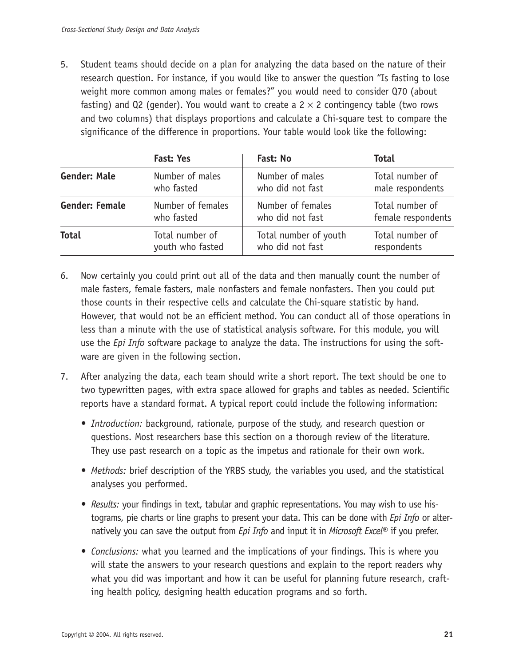5. Student teams should decide on a plan for analyzing the data based on the nature of their research question. For instance, if you would like to answer the question "Is fasting to lose weight more common among males or females?" you would need to consider Q70 (about fasting) and Q2 (gender). You would want to create a  $2 \times 2$  contingency table (two rows and two columns) that displays proportions and calculate a Chi-square test to compare the significance of the difference in proportions. Your table would look like the following:

|                                                          | <b>Fast: Yes</b>                    | Fast: No                                  | <b>Total</b>                          |  |
|----------------------------------------------------------|-------------------------------------|-------------------------------------------|---------------------------------------|--|
| <b>Gender: Male</b><br>Number of males<br>who fasted     |                                     | Number of males<br>who did not fast       | Total number of<br>male respondents   |  |
| <b>Gender: Female</b><br>Number of females<br>who fasted |                                     | Number of females<br>who did not fast     | Total number of<br>female respondents |  |
| <b>Total</b>                                             | Total number of<br>youth who fasted | Total number of youth<br>who did not fast | Total number of<br>respondents        |  |

- 6. Now certainly you could print out all of the data and then manually count the number of male fasters, female fasters, male nonfasters and female nonfasters. Then you could put those counts in their respective cells and calculate the Chi-square statistic by hand. However, that would not be an efficient method. You can conduct all of those operations in less than a minute with the use of statistical analysis software. For this module, you will use the *Epi Info* software package to analyze the data. The instructions for using the software are given in the following section.
- 7. After analyzing the data, each team should write a short report. The text should be one to two typewritten pages, with extra space allowed for graphs and tables as needed. Scientific reports have a standard format. A typical report could include the following information:
	- *Introduction:* background, rationale, purpose of the study, and research question or questions. Most researchers base this section on a thorough review of the literature. They use past research on a topic as the impetus and rationale for their own work.
	- *Methods:* brief description of the YRBS study, the variables you used, and the statistical analyses you performed.
	- *Results:* your findings in text, tabular and graphic representations. You may wish to use histograms, pie charts or line graphs to present your data. This can be done with *Epi Info* or alternatively you can save the output from *Epi Info* and input it in *Microsoft Excel®* if you prefer.
	- *Conclusions:* what you learned and the implications of your findings. This is where you will state the answers to your research questions and explain to the report readers why what you did was important and how it can be useful for planning future research, crafting health policy, designing health education programs and so forth.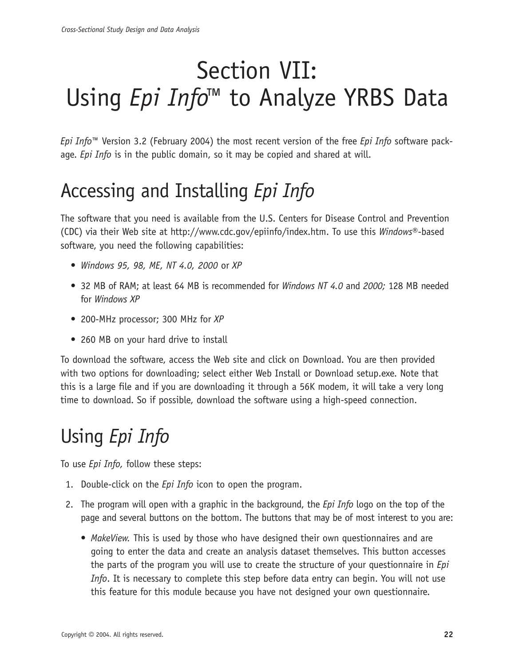# Section VII: Using *Epi Info™* to Analyze YRBS Data

*Epi Info*™ Version 3.2 (February 2004) the most recent version of the free *Epi Info* software package. *Epi Info* is in the public domain, so it may be copied and shared at will.

## Accessing and Installing *Epi Info*

The software that you need is available from the U.S. Centers for Disease Control and Prevention (CDC) via their Web site at http://www.cdc.gov/epiinfo/index.htm. To use this *Windows*®-based software, you need the following capabilities:

- *Windows 95, 98, ME, NT 4.0, 2000* or *XP*
- 32 MB of RAM; at least 64 MB is recommended for *Windows NT 4.0* and *2000;* 128 MB needed for *Windows XP*
- 200-MHz processor; 300 MHz for *XP*
- 260 MB on your hard drive to install

To download the software, access the Web site and click on Download. You are then provided with two options for downloading; select either Web Install or Download setup.exe. Note that this is a large file and if you are downloading it through a 56K modem, it will take a very long time to download. So if possible, download the software using a high-speed connection.

## Using *Epi Info*

To use *Epi Info,* follow these steps:

- 1. Double-click on the *Epi Info* icon to open the program.
- 2. The program will open with a graphic in the background, the *Epi Info* logo on the top of the page and several buttons on the bottom. The buttons that may be of most interest to you are:
	- *MakeView.* This is used by those who have designed their own questionnaires and are going to enter the data and create an analysis dataset themselves. This button accesses the parts of the program you will use to create the structure of your questionnaire in *Epi Info*. It is necessary to complete this step before data entry can begin. You will not use this feature for this module because you have not designed your own questionnaire.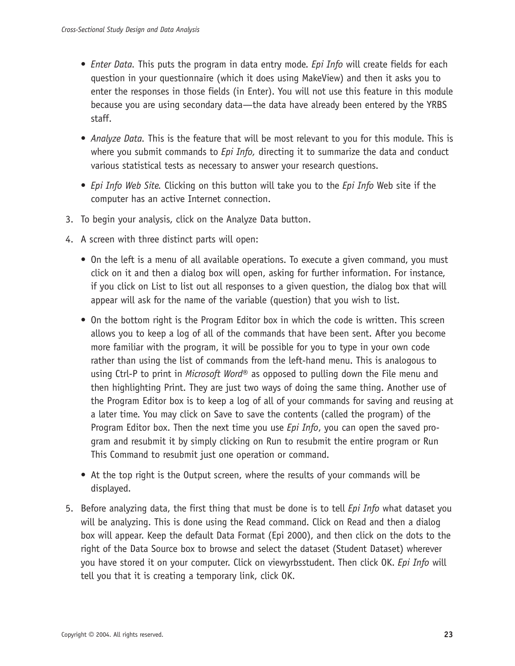- *Enter Data.* This puts the program in data entry mode. *Epi Info* will create fields for each question in your questionnaire (which it does using MakeView) and then it asks you to enter the responses in those fields (in Enter). You will not use this feature in this module because you are using secondary data—the data have already been entered by the YRBS staff.
- *Analyze Data.* This is the feature that will be most relevant to you for this module. This is where you submit commands to *Epi Info,* directing it to summarize the data and conduct various statistical tests as necessary to answer your research questions.
- *Epi Info Web Site.* Clicking on this button will take you to the *Epi Info* Web site if the computer has an active Internet connection.
- 3. To begin your analysis, click on the Analyze Data button.
- 4. A screen with three distinct parts will open:
	- On the left is a menu of all available operations. To execute a given command, you must click on it and then a dialog box will open, asking for further information. For instance, if you click on List to list out all responses to a given question, the dialog box that will appear will ask for the name of the variable (question) that you wish to list.
	- On the bottom right is the Program Editor box in which the code is written. This screen allows you to keep a log of all of the commands that have been sent. After you become more familiar with the program, it will be possible for you to type in your own code rather than using the list of commands from the left-hand menu. This is analogous to using Ctrl-P to print in *Microsoft Word*® as opposed to pulling down the File menu and then highlighting Print. They are just two ways of doing the same thing. Another use of the Program Editor box is to keep a log of all of your commands for saving and reusing at a later time. You may click on Save to save the contents (called the program) of the Program Editor box. Then the next time you use *Epi Info*, you can open the saved program and resubmit it by simply clicking on Run to resubmit the entire program or Run This Command to resubmit just one operation or command.
	- At the top right is the Output screen, where the results of your commands will be displayed.
- 5. Before analyzing data, the first thing that must be done is to tell *Epi Info* what dataset you will be analyzing. This is done using the Read command. Click on Read and then a dialog box will appear. Keep the default Data Format (Epi 2000), and then click on the dots to the right of the Data Source box to browse and select the dataset (Student Dataset) wherever you have stored it on your computer. Click on viewyrbsstudent. Then click OK. *Epi Info* will tell you that it is creating a temporary link, click OK.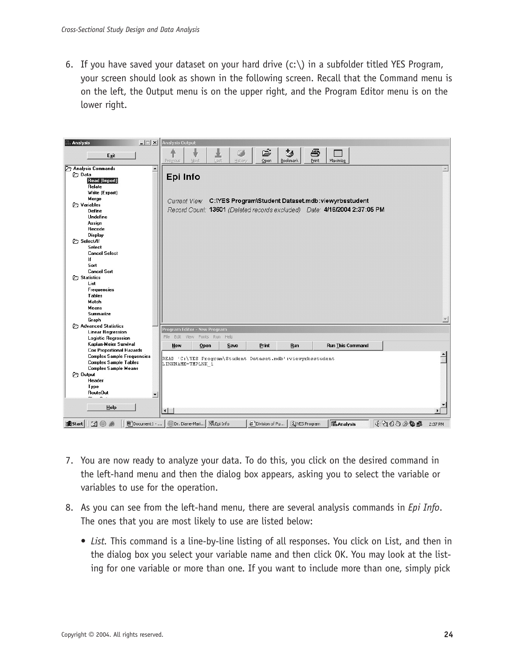6. If you have saved your dataset on your hard drive  $(c:\)$  in a subfolder titled YES Program, your screen should look as shown in the following screen. Recall that the Command menu is on the left, the Output menu is on the upper right, and the Program Editor menu is on the lower right.



- 7. You are now ready to analyze your data. To do this, you click on the desired command in the left-hand menu and then the dialog box appears, asking you to select the variable or variables to use for the operation.
- 8. As you can see from the left-hand menu, there are several analysis commands in *Epi Info*. The ones that you are most likely to use are listed below:
	- *List.* This command is a line-by-line listing of all responses. You click on List, and then in the dialog box you select your variable name and then click OK. You may look at the listing for one variable or more than one. If you want to include more than one, simply pick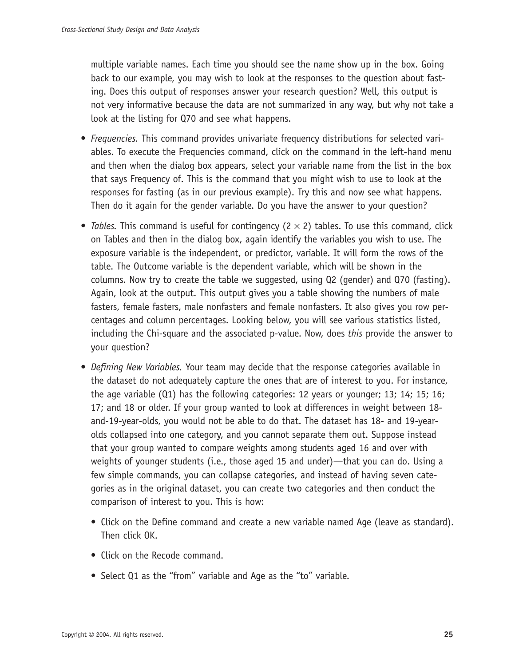multiple variable names. Each time you should see the name show up in the box. Going back to our example, you may wish to look at the responses to the question about fasting. Does this output of responses answer your research question? Well, this output is not very informative because the data are not summarized in any way, but why not take a look at the listing for Q70 and see what happens.

- *Frequencies.* This command provides univariate frequency distributions for selected variables. To execute the Frequencies command, click on the command in the left-hand menu and then when the dialog box appears, select your variable name from the list in the box that says Frequency of. This is the command that you might wish to use to look at the responses for fasting (as in our previous example). Try this and now see what happens. Then do it again for the gender variable. Do you have the answer to your question?
- *Tables.* This command is useful for contingency ( $2 \times 2$ ) tables. To use this command, click on Tables and then in the dialog box, again identify the variables you wish to use. The exposure variable is the independent, or predictor, variable. It will form the rows of the table. The Outcome variable is the dependent variable, which will be shown in the columns. Now try to create the table we suggested, using Q2 (gender) and Q70 (fasting). Again, look at the output. This output gives you a table showing the numbers of male fasters, female fasters, male nonfasters and female nonfasters. It also gives you row percentages and column percentages. Looking below, you will see various statistics listed, including the Chi-square and the associated p-value. Now, does *this* provide the answer to your question?
- *Defining New Variables.* Your team may decide that the response categories available in the dataset do not adequately capture the ones that are of interest to you. For instance, the age variable (Q1) has the following categories: 12 years or younger; 13; 14; 15; 16; 17; and 18 or older. If your group wanted to look at differences in weight between 18 and-19-year-olds, you would not be able to do that. The dataset has 18- and 19-yearolds collapsed into one category, and you cannot separate them out. Suppose instead that your group wanted to compare weights among students aged 16 and over with weights of younger students (i.e., those aged 15 and under)—that you can do. Using a few simple commands, you can collapse categories, and instead of having seven categories as in the original dataset, you can create two categories and then conduct the comparison of interest to you. This is how:
	- Click on the Define command and create a new variable named Age (leave as standard). Then click OK.
	- Click on the Recode command.
	- Select Q1 as the "from" variable and Age as the "to" variable.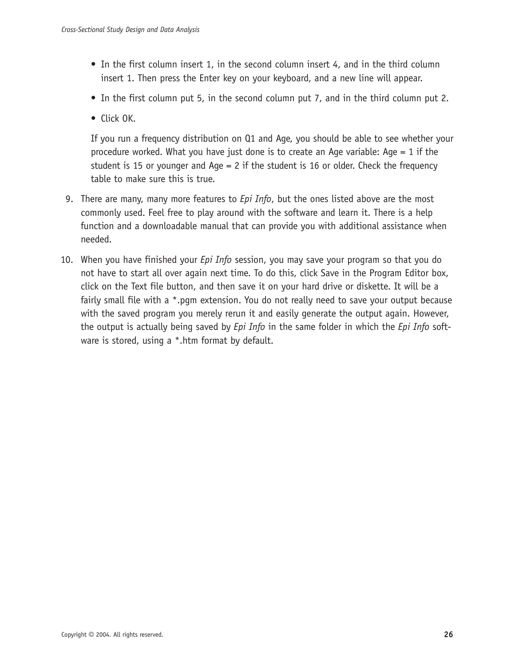- In the first column insert 1, in the second column insert 4, and in the third column insert 1. Then press the Enter key on your keyboard, and a new line will appear.
- In the first column put 5, in the second column put 7, and in the third column put 2.
- Click OK.

If you run a frequency distribution on Q1 and Age, you should be able to see whether your procedure worked. What you have just done is to create an Age variable: Age  $= 1$  if the student is 15 or younger and Age = 2 if the student is 16 or older. Check the frequency table to make sure this is true.

- 9. There are many, many more features to *Epi Info*, but the ones listed above are the most commonly used. Feel free to play around with the software and learn it. There is a help function and a downloadable manual that can provide you with additional assistance when needed.
- 10. When you have finished your *Epi Info* session, you may save your program so that you do not have to start all over again next time. To do this, click Save in the Program Editor box, click on the Text file button, and then save it on your hard drive or diskette. It will be a fairly small file with a \*.pgm extension. You do not really need to save your output because with the saved program you merely rerun it and easily generate the output again. However, the output is actually being saved by *Epi Info* in the same folder in which the *Epi Info* software is stored, using a \*.htm format by default.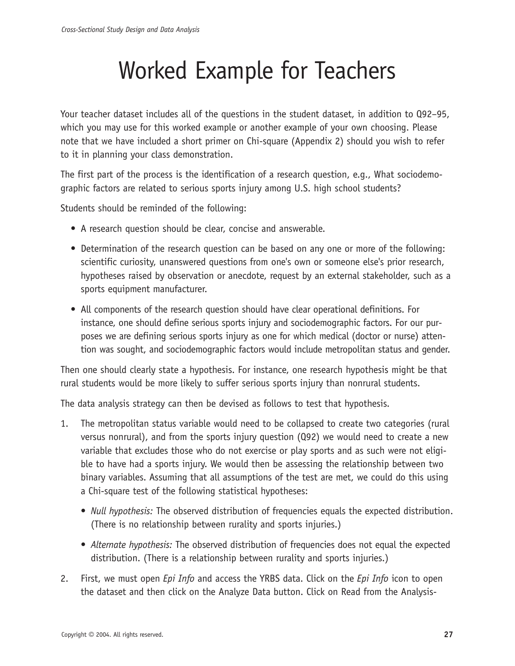# Worked Example for Teachers

Your teacher dataset includes all of the questions in the student dataset, in addition to Q92–95, which you may use for this worked example or another example of your own choosing. Please note that we have included a short primer on Chi-square (Appendix 2) should you wish to refer to it in planning your class demonstration.

The first part of the process is the identification of a research question, e.g., What sociodemographic factors are related to serious sports injury among U.S. high school students?

Students should be reminded of the following:

- A research question should be clear, concise and answerable.
- Determination of the research question can be based on any one or more of the following: scientific curiosity, unanswered questions from one's own or someone else's prior research, hypotheses raised by observation or anecdote, request by an external stakeholder, such as a sports equipment manufacturer.
- All components of the research question should have clear operational definitions. For instance, one should define serious sports injury and sociodemographic factors. For our purposes we are defining serious sports injury as one for which medical (doctor or nurse) attention was sought, and sociodemographic factors would include metropolitan status and gender.

Then one should clearly state a hypothesis. For instance, one research hypothesis might be that rural students would be more likely to suffer serious sports injury than nonrural students.

The data analysis strategy can then be devised as follows to test that hypothesis.

- 1. The metropolitan status variable would need to be collapsed to create two categories (rural versus nonrural), and from the sports injury question (Q92) we would need to create a new variable that excludes those who do not exercise or play sports and as such were not eligible to have had a sports injury. We would then be assessing the relationship between two binary variables. Assuming that all assumptions of the test are met, we could do this using a Chi-square test of the following statistical hypotheses:
	- *Null hypothesis:* The observed distribution of frequencies equals the expected distribution. (There is no relationship between rurality and sports injuries.)
	- *Alternate hypothesis:* The observed distribution of frequencies does not equal the expected distribution. (There is a relationship between rurality and sports injuries.)
- 2. First, we must open *Epi Info* and access the YRBS data. Click on the *Epi Info* icon to open the dataset and then click on the Analyze Data button. Click on Read from the Analysis-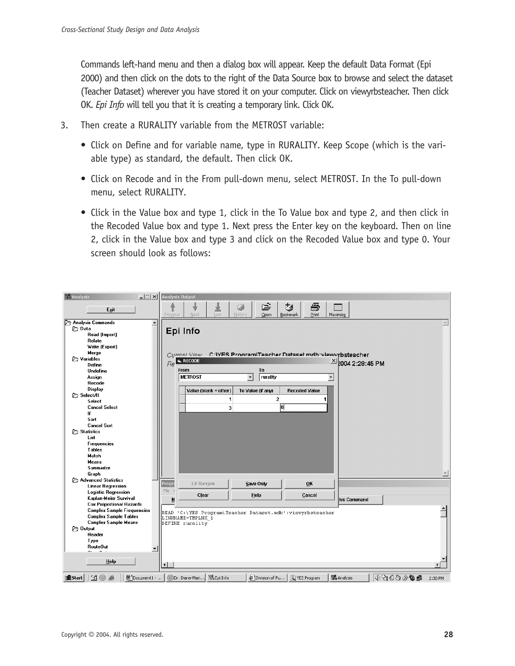Commands left-hand menu and then a dialog box will appear. Keep the default Data Format (Epi 2000) and then click on the dots to the right of the Data Source box to browse and select the dataset (Teacher Dataset) wherever you have stored it on your computer. Click on viewyrbsteacher. Then click OK. *Epi Info* will tell you that it is creating a temporary link. Click OK.

- 3. Then create a RURALITY variable from the METROST variable:
	- Click on Define and for variable name, type in RURALITY. Keep Scope (which is the variable type) as standard, the default. Then click OK.
	- Click on Recode and in the From pull-down menu, select METROST. In the To pull-down menu, select RURALITY.
	- Click in the Value box and type 1, click in the To Value box and type 2, and then click in the Recoded Value box and type 1. Next press the Enter key on the keyboard. Then on line 2, click in the Value box and type 3 and click on the Recoded Value box and type 0. Your screen should look as follows:

| <b>Analysis</b><br>$ \Box$ $\times$ $\Box$ | <b>Analysis Output</b>                                                                                                   |                  |
|--------------------------------------------|--------------------------------------------------------------------------------------------------------------------------|------------------|
| Exit                                       | Ê<br>ê<br>移<br>土<br>÷<br>Bookmark<br>Last<br>History<br>Open<br>Print<br>Next<br>Maximize<br>Previous                    |                  |
| Analysis Commands<br>≐                     |                                                                                                                          | $\blacktriangle$ |
| <b>P</b> Data                              | Epi Info                                                                                                                 |                  |
| Read (Import)                              |                                                                                                                          |                  |
| Relate                                     |                                                                                                                          |                  |
| Write [Export]                             |                                                                                                                          |                  |
| Merge                                      | C: WES Program\Teacher Dataset mdb: viewyrbsteacher<br>Current View                                                      |                  |
| <b>P</b> Variables                         | $Re$ RECODE<br>$20042:28:45$ PM                                                                                          |                  |
| Define                                     |                                                                                                                          |                  |
| Undefine                                   | To<br>From                                                                                                               |                  |
| Assign                                     | <b>METROST</b><br>rurality<br>$\blacktriangledown$<br>$\blacktriangledown$                                               |                  |
| Recode                                     |                                                                                                                          |                  |
| <b>Display</b>                             | Value (blank = other)<br>To Value (if any)<br><b>Recoded Value</b>                                                       |                  |
| <b>P</b> Select/If                         | $\mathbf{2}$<br>1<br>1                                                                                                   |                  |
| Select                                     |                                                                                                                          |                  |
| <b>Cancel Select</b><br>If                 | 冋<br>$\overline{\mathbf{3}}$                                                                                             |                  |
| Sort                                       |                                                                                                                          |                  |
| <b>Cancel Sort</b>                         |                                                                                                                          |                  |
| <b>Statistics</b>                          |                                                                                                                          |                  |
| List                                       |                                                                                                                          |                  |
| <b>Frequencies</b>                         |                                                                                                                          |                  |
| <b>Tables</b>                              |                                                                                                                          |                  |
| Match                                      |                                                                                                                          |                  |
| <b>Means</b>                               |                                                                                                                          |                  |
| Summarize                                  |                                                                                                                          |                  |
| Graph                                      |                                                                                                                          |                  |
| Advanced Statistics                        |                                                                                                                          |                  |
| <b>Linear Regression</b>                   | Progr<br><b>Fill Ranges</b><br>Save Only<br>OK                                                                           |                  |
| <b>Logistic Regression</b>                 | File                                                                                                                     |                  |
| Kaplan-Meier Survival                      | Clear<br>Help<br>Cancel<br>his Command<br>N                                                                              |                  |
| <b>Cox Proportional Hazards</b>            |                                                                                                                          |                  |
| <b>Complex Sample Frequencies</b>          | READ 'C:\YES Program\Teacher Dataset.mdb':viewyrbsteacher                                                                |                  |
| <b>Complex Sample Tables</b>               | LINKNAME=TMPLNK 1                                                                                                        |                  |
| <b>Complex Sample Means</b>                | DEFINE rurality                                                                                                          |                  |
| <b>Dutput</b>                              |                                                                                                                          |                  |
| Header                                     |                                                                                                                          |                  |
| Type                                       |                                                                                                                          |                  |
| RouteOut<br>$\sim$<br>÷.                   |                                                                                                                          |                  |
|                                            |                                                                                                                          |                  |
| Help                                       |                                                                                                                          |                  |
|                                            | $\left  \cdot \right $                                                                                                   |                  |
| 過Start   [1] 4 卷                           | 4:200244<br>Document1 -    Dr. Diane-Mari   M. Epi Info<br>VES Program<br><b>spil</b><br>Inha Analysis<br>Division of Pu | 2:30 PM          |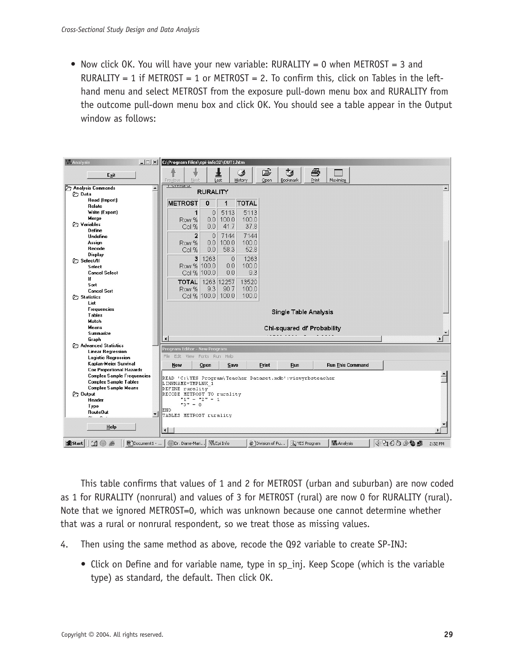• Now click OK. You will have your new variable: RURALITY = 0 when METROST = 3 and RURALITY = 1 if METROST = 1 or METROST = 2. To confirm this, click on Tables in the lefthand menu and select METROST from the exposure pull-down menu box and RURALITY from the outcome pull-down menu box and click OK. You should see a table appear in the Output window as follows:



This table confirms that values of 1 and 2 for METROST (urban and suburban) are now coded as 1 for RURALITY (nonrural) and values of 3 for METROST (rural) are now 0 for RURALITY (rural). Note that we ignored METROST=0, which was unknown because one cannot determine whether that was a rural or nonrural respondent, so we treat those as missing values.

- 4. Then using the same method as above, recode the Q92 variable to create SP-INJ:
	- Click on Define and for variable name, type in sp\_inj. Keep Scope (which is the variable type) as standard, the default. Then click OK.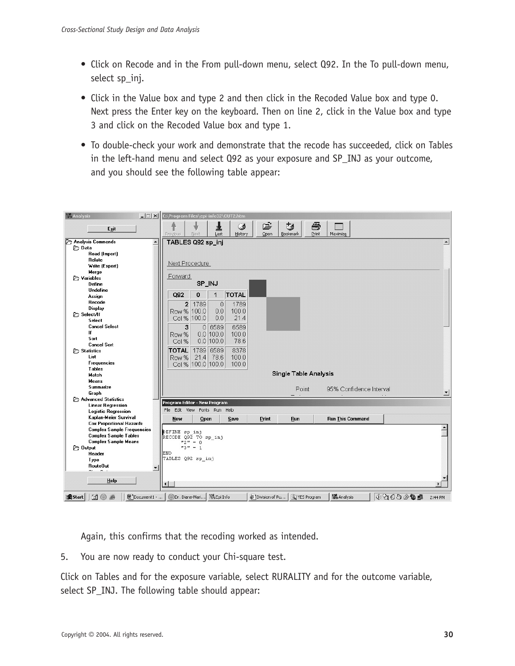- Click on Recode and in the From pull-down menu, select Q92. In the To pull-down menu, select sp\_inj.
- Click in the Value box and type 2 and then click in the Recoded Value box and type 0. Next press the Enter key on the keyboard. Then on line 2, click in the Value box and type 3 and click on the Recoded Value box and type 1.
- To double-check your work and demonstrate that the recode has succeeded, click on Tables in the left-hand menu and select Q92 as your exposure and SP\_INJ as your outcome, and you should see the following table appear:

| <b>Analysis</b>                                                | $\Box$ $\Box$ $\times$ $C:\ProgramFiles\eepi-info32\OUT2.htm$ |                   |                    |              |                |                              |       |                         |          |                  |
|----------------------------------------------------------------|---------------------------------------------------------------|-------------------|--------------------|--------------|----------------|------------------------------|-------|-------------------------|----------|------------------|
|                                                                |                                                               | ö                 | 遑                  | Ø            | ĉ              | 矽                            | Ð     |                         |          |                  |
| Exit                                                           | Previous                                                      | Next              | Last               | History      | Open           | Bookmark                     | Print | Maximize                |          |                  |
| Analysis Commands<br>$\overline{\phantom{0}}$                  | TABLES Q92 sp_inj                                             |                   |                    |              |                |                              |       |                         |          | $\blacktriangle$ |
| <b>P</b> Data                                                  |                                                               |                   |                    |              |                |                              |       |                         |          |                  |
| Read (Import)                                                  |                                                               |                   |                    |              |                |                              |       |                         |          |                  |
| Relate                                                         |                                                               |                   |                    |              |                |                              |       |                         |          |                  |
| Write (Export)                                                 | Next Procedure                                                |                   |                    |              |                |                              |       |                         |          |                  |
| Merge                                                          |                                                               |                   |                    |              |                |                              |       |                         |          |                  |
| <b>P</b> Variables                                             | Forward                                                       |                   |                    |              |                |                              |       |                         |          |                  |
| Define                                                         |                                                               | SP_INJ            |                    |              |                |                              |       |                         |          |                  |
| Undefine                                                       |                                                               |                   |                    |              |                |                              |       |                         |          |                  |
| Assign                                                         | Q92                                                           | U                 | 1                  | <b>TOTAL</b> |                |                              |       |                         |          |                  |
| Recode                                                         | $\overline{2}$                                                | 1789              | $\theta$           | 1789         |                |                              |       |                         |          |                  |
| Display                                                        | Row % 100.0                                                   |                   | 0.0                | 100.0        |                |                              |       |                         |          |                  |
| <b>P</b> Select/If                                             |                                                               |                   | 0.0                | 21.4         |                |                              |       |                         |          |                  |
| Select                                                         |                                                               | Col % 100.0       |                    |              |                |                              |       |                         |          |                  |
| <b>Cancel Select</b>                                           | 3                                                             |                   | 0 6589             | 6589         |                |                              |       |                         |          |                  |
| If                                                             | Row %                                                         |                   | $0.0$ 100.0        | 100.0        |                |                              |       |                         |          |                  |
| Sort                                                           | Col %                                                         |                   | $0.0$ 100.0        | 78.6         |                |                              |       |                         |          |                  |
| <b>Cancel Sort</b>                                             |                                                               |                   |                    |              |                |                              |       |                         |          |                  |
| <b>Statistics</b>                                              | <b>TOTAL</b>                                                  | 1789 6589         |                    | 8378         |                |                              |       |                         |          |                  |
| List                                                           | Row %                                                         | 21.4 78.6         |                    | 100.0        |                |                              |       |                         |          |                  |
| <b>Frequencies</b>                                             |                                                               | Col % 100.0 100.0 |                    | 100.0        |                |                              |       |                         |          |                  |
| <b>Tables</b>                                                  |                                                               |                   |                    |              |                | <b>Single Table Analysis</b> |       |                         |          |                  |
| Match                                                          |                                                               |                   |                    |              |                |                              |       |                         |          |                  |
| <b>Means</b>                                                   |                                                               |                   |                    |              |                |                              |       |                         |          |                  |
| Summarize                                                      |                                                               |                   |                    |              |                | Point                        |       | 95% Confidence Interval |          |                  |
| Graph<br>Advanced Statistics                                   |                                                               |                   |                    |              |                |                              |       |                         |          | ▼                |
| <b>Linear Regression</b>                                       | Program Editor - New Program                                  |                   |                    |              |                |                              |       |                         |          |                  |
| <b>Logistic Regression</b>                                     | File Edit View                                                |                   | Fonts Run Help     |              |                |                              |       |                         |          |                  |
| Kaplan-Meier Survival                                          |                                                               |                   |                    |              |                |                              |       |                         |          |                  |
| <b>Cox Proportional Hazards</b>                                | New                                                           | Open              |                    | Save         | Print          | Run                          |       | <b>Run This Command</b> |          |                  |
| <b>Complex Sample Frequencies</b>                              |                                                               |                   |                    |              |                |                              |       |                         |          |                  |
| <b>Complex Sample Tables</b>                                   | DEFINE sp inj<br>RECODE Q92 TO sp inj                         |                   |                    |              |                |                              |       |                         |          |                  |
| <b>Complex Sample Means</b>                                    |                                                               | $"2" = 0$         |                    |              |                |                              |       |                         |          |                  |
| <b>P</b> Output                                                |                                                               | $"3" = 1$         |                    |              |                |                              |       |                         |          |                  |
| Header                                                         | END                                                           |                   |                    |              |                |                              |       |                         |          |                  |
| Type                                                           | TABLES Q92 sp inj                                             |                   |                    |              |                |                              |       |                         |          |                  |
| <b>RouteOut</b><br>$\blacktriangledown$                        |                                                               |                   |                    |              |                |                              |       |                         |          |                  |
| $\sim$<br>$\sim$ $\sim$                                        |                                                               |                   |                    |              |                |                              |       |                         |          |                  |
| Help                                                           |                                                               |                   |                    |              |                |                              |       |                         |          |                  |
|                                                                | $\left  \cdot \right $                                        |                   |                    |              |                |                              |       |                         |          | ٠                |
|                                                                |                                                               |                   |                    |              |                |                              |       |                         |          |                  |
| <b>B</b> Start<br>$\boxtimes$ $\oplus$ $\oplus$<br>Document1 - | Dr. Diane-Mari                                                |                   | <b>MA</b> Epi Info |              | Division of Pu | VES Program                  |       | and<br>Inha Analysis    | 4:000000 | 2:44 PM          |

Again, this confirms that the recoding worked as intended.

5. You are now ready to conduct your Chi-square test.

Click on Tables and for the exposure variable, select RURALITY and for the outcome variable, select SP\_INJ. The following table should appear: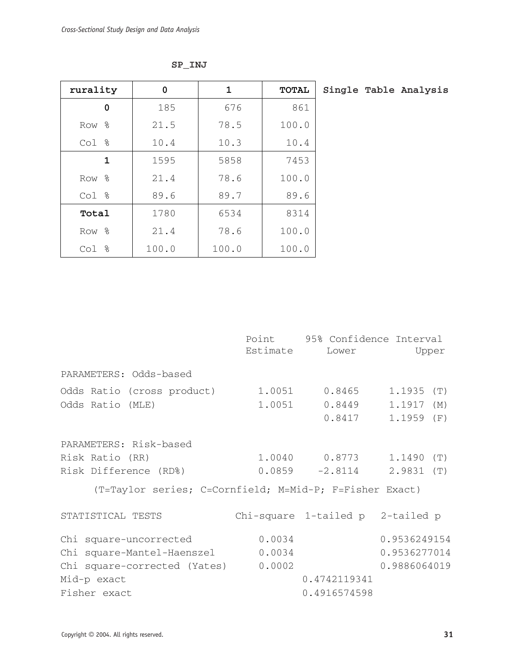| rurality     | $\pmb{0}$ | $\mathbf 1$ | TOTAL |  | Single Table Analysis |
|--------------|-----------|-------------|-------|--|-----------------------|
| $\pmb{0}$    | 185       | 676         | 861   |  |                       |
| Row %        | 21.5      | 78.5        | 100.0 |  |                       |
| Col %        | 10.4      | 10.3        | 10.4  |  |                       |
| $\mathbf 1$  | 1595      | 5858        | 7453  |  |                       |
| Row %        | 21.4      | 78.6        | 100.0 |  |                       |
| Col %        | 89.6      | 89.7        | 89.6  |  |                       |
| <b>Total</b> | 1780      | 6534        | 8314  |  |                       |
| Row %        | 21.4      | 78.6        | 100.0 |  |                       |
| Col %        | 100.0     | 100.0       | 100.0 |  |                       |

|--|--|

|                                                         |          | Point 95% Confidence Interval    |               |
|---------------------------------------------------------|----------|----------------------------------|---------------|
|                                                         | Estimate | Lower                            | Upper         |
| PARAMETERS: Odds-based                                  |          |                                  |               |
| Odds Ratio (cross product) 1.0051 0.8465                |          |                                  | 1.1935<br>(T) |
| Odds Ratio (MLE)                                        | 1.0051   | 0.8449                           | 1.1917<br>(M) |
|                                                         |          | 0.8417                           | 1.1959<br>(F) |
| PARAMETERS: Risk-based                                  |          |                                  |               |
| Risk Ratio (RR)                                         |          | $1.0040$ 0.8773 1.1490 (T)       |               |
| Risk Difference (RD%)                                   |          | $0.0859 -2.8114$                 | $2.9831$ (T)  |
| (T=Taylor series; C=Cornfield; M=Mid-P; F=Fisher Exact) |          |                                  |               |
| STATISTICAL TESTS                                       |          | Chi-square 1-tailed p 2-tailed p |               |
| Chi square-uncorrected                                  | 0.0034   |                                  | 0.9536249154  |
| Chi square-Mantel-Haenszel 0.0034                       |          |                                  | 0.9536277014  |
| Chi square-corrected (Yates) 0.0002                     |          |                                  | 0.9886064019  |
| Mid-p exact                                             |          | 0.4742119341                     |               |
| Fisher exact                                            |          | 0.4916574598                     |               |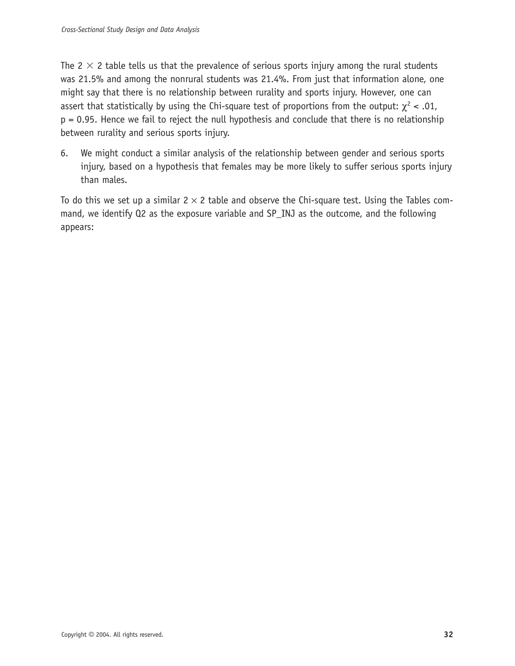The 2  $\times$  2 table tells us that the prevalence of serious sports injury among the rural students was 21.5% and among the nonrural students was 21.4%. From just that information alone, one might say that there is no relationship between rurality and sports injury. However, one can assert that statistically by using the Chi-square test of proportions from the output:  $\chi^2$  < .01, p = 0.95. Hence we fail to reject the null hypothesis and conclude that there is no relationship between rurality and serious sports injury.

6. We might conduct a similar analysis of the relationship between gender and serious sports injury, based on a hypothesis that females may be more likely to suffer serious sports injury than males.

To do this we set up a similar  $2 \times 2$  table and observe the Chi-square test. Using the Tables command, we identify Q2 as the exposure variable and SP\_INJ as the outcome, and the following appears: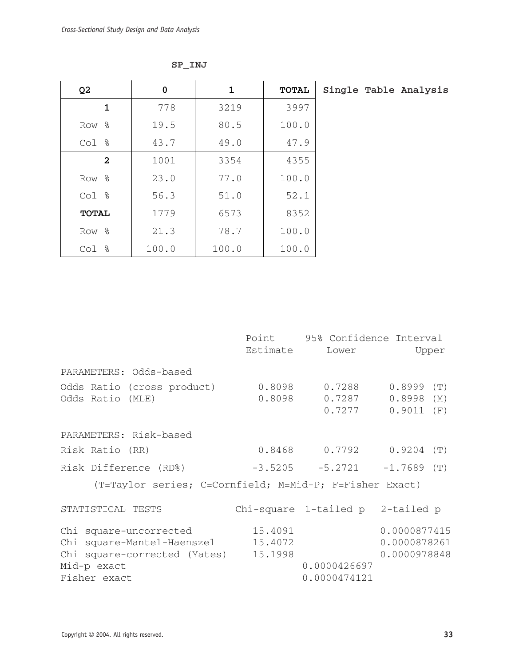| Q <sub>2</sub>          | 0     | $\mathbf{1}$ | <b>TOTAL</b> | Single Table Analysis |
|-------------------------|-------|--------------|--------------|-----------------------|
| $\mathbf 1$             | 778   | 3219         | 3997         |                       |
| Row %                   | 19.5  | 80.5         | 100.0        |                       |
| Col %                   | 43.7  | 49.0         | 47.9         |                       |
| $\overline{\mathbf{2}}$ | 1001  | 3354         | 4355         |                       |
| Row %                   | 23.0  | 77.0         | 100.0        |                       |
| Col %                   | 56.3  | 51.0         | 52.1         |                       |
| <b>TOTAL</b>            | 1779  | 6573         | 8352         |                       |
| Row %                   | 21.3  | 78.7         | 100.0        |                       |
| Col %                   | 100.0 | 100.0        | 100.0        |                       |

**SP\_INJ**

|                                                                                      | Point                         | 95% Confidence Interval           |                                               |
|--------------------------------------------------------------------------------------|-------------------------------|-----------------------------------|-----------------------------------------------|
|                                                                                      | Estimate                      | Lower                             | Upper                                         |
| PARAMETERS: Odds-based                                                               |                               |                                   |                                               |
| Odds Ratio (cross product)<br>Odds Ratio (MLE)                                       | 0.8098<br>0.8098              | 0.7288<br>0.7287<br>0.7277        | 0.8999<br>(T)<br>$0.8998$ (M)<br>$0.9011$ (F) |
| PARAMETERS: Risk-based                                                               |                               |                                   |                                               |
| Risk Ratio (RR)                                                                      |                               | $0.8468$ 0.7792 0.9204 (T)        |                                               |
| Risk Difference (RD%)                                                                |                               | $-3.5205$ $-5.2721$ $-1.7689$ (T) |                                               |
| (T=Taylor series; C=Cornfield; M=Mid-P; F=Fisher Exact)                              |                               |                                   |                                               |
| STATISTICAL TESTS                                                                    |                               | Chi-square 1-tailed p 2-tailed p  |                                               |
| Chi square-uncorrected<br>Chi square-Mantel-Haenszel<br>Chi square-corrected (Yates) | 15.4091<br>15.4072<br>15.1998 |                                   | 0.0000877415<br>0.0000878261<br>0.0000978848  |
| Mid-p exact                                                                          |                               | 0.0000426697                      |                                               |
| Fisher exact                                                                         |                               | 0.0000474121                      |                                               |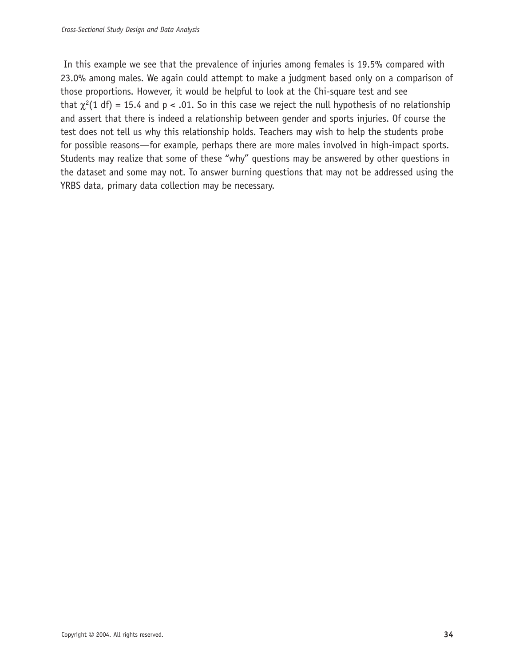In this example we see that the prevalence of injuries among females is 19.5% compared with 23.0% among males. We again could attempt to make a judgment based only on a comparison of those proportions. However, it would be helpful to look at the Chi-square test and see that  $\chi^2(1 \text{ df}) = 15.4$  and p < .01. So in this case we reject the null hypothesis of no relationship and assert that there is indeed a relationship between gender and sports injuries. Of course the test does not tell us why this relationship holds. Teachers may wish to help the students probe for possible reasons—for example, perhaps there are more males involved in high-impact sports. Students may realize that some of these "why" questions may be answered by other questions in the dataset and some may not. To answer burning questions that may not be addressed using the YRBS data, primary data collection may be necessary.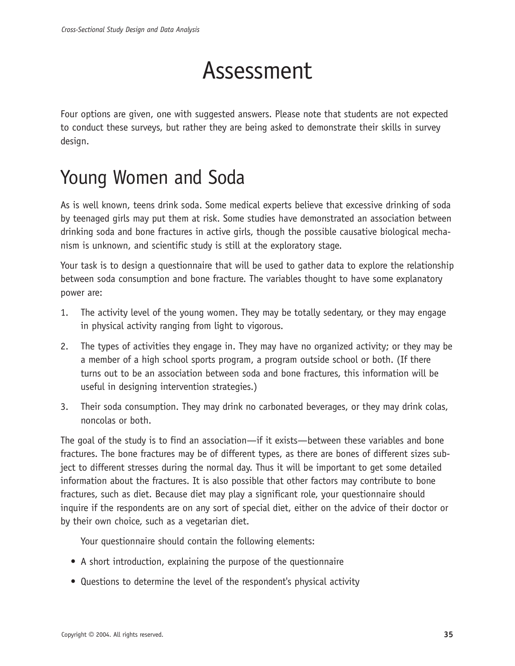# Assessment

Four options are given, one with suggested answers. Please note that students are not expected to conduct these surveys, but rather they are being asked to demonstrate their skills in survey design.

## Young Women and Soda

As is well known, teens drink soda. Some medical experts believe that excessive drinking of soda by teenaged girls may put them at risk. Some studies have demonstrated an association between drinking soda and bone fractures in active girls, though the possible causative biological mechanism is unknown, and scientific study is still at the exploratory stage.

Your task is to design a questionnaire that will be used to gather data to explore the relationship between soda consumption and bone fracture. The variables thought to have some explanatory power are:

- 1. The activity level of the young women. They may be totally sedentary, or they may engage in physical activity ranging from light to vigorous.
- 2. The types of activities they engage in. They may have no organized activity; or they may be a member of a high school sports program, a program outside school or both. (If there turns out to be an association between soda and bone fractures, this information will be useful in designing intervention strategies.)
- 3. Their soda consumption. They may drink no carbonated beverages, or they may drink colas, noncolas or both.

The goal of the study is to find an association—if it exists—between these variables and bone fractures. The bone fractures may be of different types, as there are bones of different sizes subject to different stresses during the normal day. Thus it will be important to get some detailed information about the fractures. It is also possible that other factors may contribute to bone fractures, such as diet. Because diet may play a significant role, your questionnaire should inquire if the respondents are on any sort of special diet, either on the advice of their doctor or by their own choice, such as a vegetarian diet.

Your questionnaire should contain the following elements:

- A short introduction, explaining the purpose of the questionnaire
- Questions to determine the level of the respondent's physical activity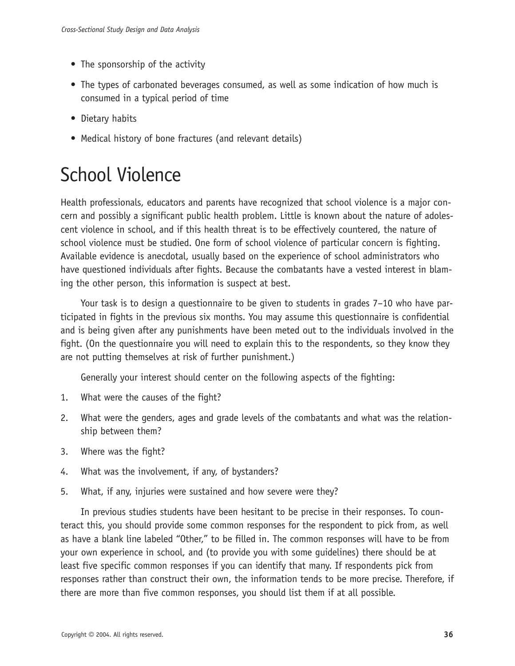- The sponsorship of the activity
- The types of carbonated beverages consumed, as well as some indication of how much is consumed in a typical period of time
- Dietary habits
- Medical history of bone fractures (and relevant details)

## School Violence

Health professionals, educators and parents have recognized that school violence is a major concern and possibly a significant public health problem. Little is known about the nature of adolescent violence in school, and if this health threat is to be effectively countered, the nature of school violence must be studied. One form of school violence of particular concern is fighting. Available evidence is anecdotal, usually based on the experience of school administrators who have questioned individuals after fights. Because the combatants have a vested interest in blaming the other person, this information is suspect at best.

Your task is to design a questionnaire to be given to students in grades 7–10 who have participated in fights in the previous six months. You may assume this questionnaire is confidential and is being given after any punishments have been meted out to the individuals involved in the fight. (On the questionnaire you will need to explain this to the respondents, so they know they are not putting themselves at risk of further punishment.)

Generally your interest should center on the following aspects of the fighting:

- 1. What were the causes of the fight?
- 2. What were the genders, ages and grade levels of the combatants and what was the relationship between them?
- 3. Where was the fight?
- 4. What was the involvement, if any, of bystanders?
- 5. What, if any, injuries were sustained and how severe were they?

In previous studies students have been hesitant to be precise in their responses. To counteract this, you should provide some common responses for the respondent to pick from, as well as have a blank line labeled "Other," to be filled in. The common responses will have to be from your own experience in school, and (to provide you with some guidelines) there should be at least five specific common responses if you can identify that many. If respondents pick from responses rather than construct their own, the information tends to be more precise. Therefore, if there are more than five common responses, you should list them if at all possible.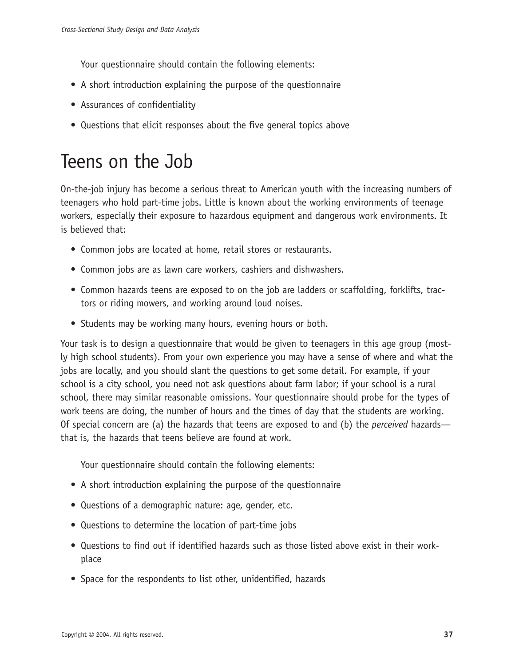Your questionnaire should contain the following elements:

- A short introduction explaining the purpose of the questionnaire
- Assurances of confidentiality
- Questions that elicit responses about the five general topics above

## Teens on the Job

On-the-job injury has become a serious threat to American youth with the increasing numbers of teenagers who hold part-time jobs. Little is known about the working environments of teenage workers, especially their exposure to hazardous equipment and dangerous work environments. It is believed that:

- Common jobs are located at home, retail stores or restaurants.
- Common jobs are as lawn care workers, cashiers and dishwashers.
- Common hazards teens are exposed to on the job are ladders or scaffolding, forklifts, tractors or riding mowers, and working around loud noises.
- Students may be working many hours, evening hours or both.

Your task is to design a questionnaire that would be given to teenagers in this age group (mostly high school students). From your own experience you may have a sense of where and what the jobs are locally, and you should slant the questions to get some detail. For example, if your school is a city school, you need not ask questions about farm labor; if your school is a rural school, there may similar reasonable omissions. Your questionnaire should probe for the types of work teens are doing, the number of hours and the times of day that the students are working. Of special concern are (a) the hazards that teens are exposed to and (b) the *perceived* hazards that is, the hazards that teens believe are found at work.

Your questionnaire should contain the following elements:

- A short introduction explaining the purpose of the questionnaire
- Questions of a demographic nature: age, gender, etc.
- Questions to determine the location of part-time jobs
- Questions to find out if identified hazards such as those listed above exist in their workplace
- Space for the respondents to list other, unidentified, hazards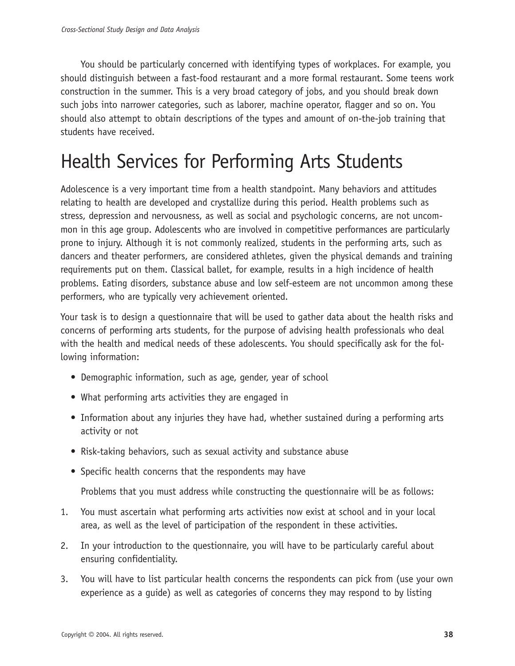You should be particularly concerned with identifying types of workplaces. For example, you should distinguish between a fast-food restaurant and a more formal restaurant. Some teens work construction in the summer. This is a very broad category of jobs, and you should break down such jobs into narrower categories, such as laborer, machine operator, flagger and so on. You should also attempt to obtain descriptions of the types and amount of on-the-job training that students have received.

## Health Services for Performing Arts Students

Adolescence is a very important time from a health standpoint. Many behaviors and attitudes relating to health are developed and crystallize during this period. Health problems such as stress, depression and nervousness, as well as social and psychologic concerns, are not uncommon in this age group. Adolescents who are involved in competitive performances are particularly prone to injury. Although it is not commonly realized, students in the performing arts, such as dancers and theater performers, are considered athletes, given the physical demands and training requirements put on them. Classical ballet, for example, results in a high incidence of health problems. Eating disorders, substance abuse and low self-esteem are not uncommon among these performers, who are typically very achievement oriented.

Your task is to design a questionnaire that will be used to gather data about the health risks and concerns of performing arts students, for the purpose of advising health professionals who deal with the health and medical needs of these adolescents. You should specifically ask for the following information:

- Demographic information, such as age, gender, year of school
- What performing arts activities they are engaged in
- Information about any injuries they have had, whether sustained during a performing arts activity or not
- Risk-taking behaviors, such as sexual activity and substance abuse
- Specific health concerns that the respondents may have

Problems that you must address while constructing the questionnaire will be as follows:

- 1. You must ascertain what performing arts activities now exist at school and in your local area, as well as the level of participation of the respondent in these activities.
- 2. In your introduction to the questionnaire, you will have to be particularly careful about ensuring confidentiality.
- 3. You will have to list particular health concerns the respondents can pick from (use your own experience as a guide) as well as categories of concerns they may respond to by listing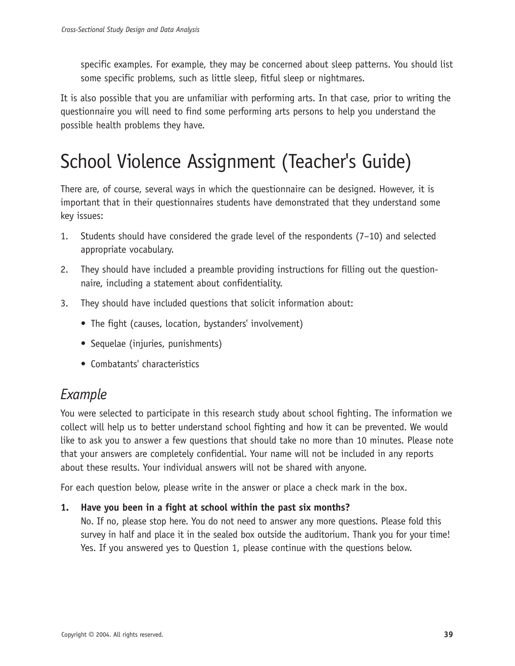specific examples. For example, they may be concerned about sleep patterns. You should list some specific problems, such as little sleep, fitful sleep or nightmares.

It is also possible that you are unfamiliar with performing arts. In that case, prior to writing the questionnaire you will need to find some performing arts persons to help you understand the possible health problems they have.

## School Violence Assignment (Teacher's Guide)

There are, of course, several ways in which the questionnaire can be designed. However, it is important that in their questionnaires students have demonstrated that they understand some key issues:

- 1. Students should have considered the grade level of the respondents (7–10) and selected appropriate vocabulary.
- 2. They should have included a preamble providing instructions for filling out the questionnaire, including a statement about confidentiality.
- 3. They should have included questions that solicit information about:
	- The fight (causes, location, bystanders' involvement)
	- Sequelae (injuries, punishments)
	- Combatants' characteristics

## *Example*

You were selected to participate in this research study about school fighting. The information we collect will help us to better understand school fighting and how it can be prevented. We would like to ask you to answer a few questions that should take no more than 10 minutes. Please note that your answers are completely confidential. Your name will not be included in any reports about these results. Your individual answers will not be shared with anyone.

For each question below, please write in the answer or place a check mark in the box.

## **1. Have you been in a fight at school within the past six months?**

No. If no, please stop here. You do not need to answer any more questions. Please fold this survey in half and place it in the sealed box outside the auditorium. Thank you for your time! Yes. If you answered yes to Question 1, please continue with the questions below.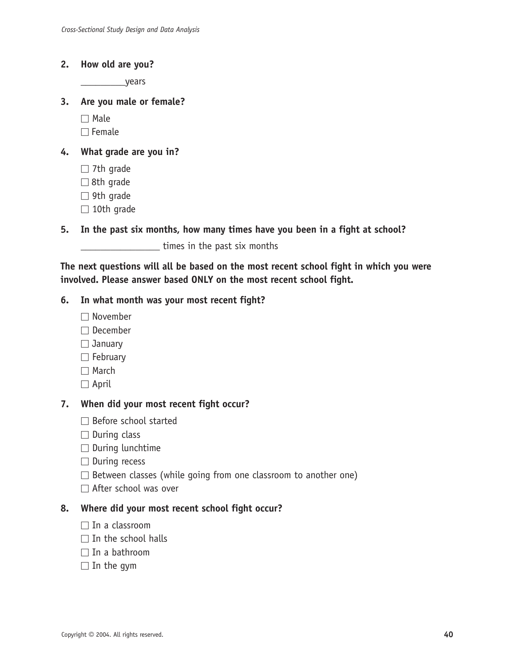#### **2. How old are you?**

\_\_\_\_\_\_\_\_\_years

#### **3. Are you male or female?**

 $\Box$  Male

 $\Box$  Female

#### **4. What grade are you in?**

- $\Box$  7th grade
- $\Box$  8th grade
- $\Box$  9th grade
- $\Box$  10th grade

### **5. In the past six months, how many times have you been in a fight at school?**

**Example 2** times in the past six months

**The next questions will all be based on the most recent school fight in which you were involved. Please answer based ONLY on the most recent school fight.**

#### **6. In what month was your most recent fight?**

- $\Box$  November
- $\Box$  December
- $\Box$  January
- $\Box$  February
- $\Box$  March
- $\Box$  April

### **7. When did your most recent fight occur?**

- $\Box$  Before school started
- $\square$  During class
- $\Box$  During lunchtime
- $\Box$  During recess
- $\Box$  Between classes (while going from one classroom to another one)
- □ After school was over

### **8. Where did your most recent school fight occur?**

- $\Box$  In a classroom
- $\Box$  In the school halls
- $\Box$  In a bathroom
- $\Box$  In the gym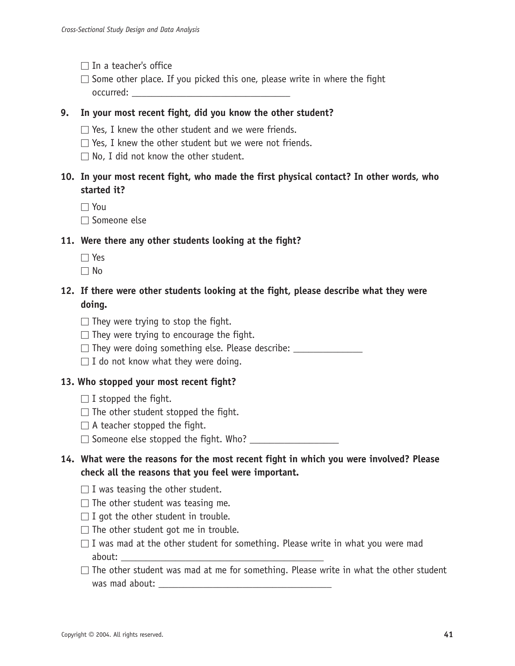- $\Box$  In a teacher's office
- $\square$  Some other place. If you picked this one, please write in where the fight  $occurred:$

### **9. In your most recent fight, did you know the other student?**

- $\Box$  Yes, I knew the other student and we were friends.
- $\Box$  Yes, I knew the other student but we were not friends.
- $\Box$  No, I did not know the other student.
- **10. In your most recent fight, who made the first physical contact? In other words, who started it?**

 $\Box$  You

 $\Box$  Someone else

## **11. Were there any other students looking at the fight?**

- $\Box$  Yes
- $\Box$  No

## **12. If there were other students looking at the fight, please describe what they were doing.**

- $\Box$  They were trying to stop the fight.
- $\Box$  They were trying to encourage the fight.
- $\Box$  They were doing something else. Please describe:
- $\Box$  I do not know what they were doing.

### **13. Who stopped your most recent fight?**

- $\Box$  I stopped the fight.
- $\Box$  The other student stopped the fight.
- $\Box$  A teacher stopped the fight.
- $\square$  Someone else stopped the fight. Who?  $\square$

## **14. What were the reasons for the most recent fight in which you were involved? Please check all the reasons that you feel were important.**

- $\Box$  I was teasing the other student.
- $\Box$  The other student was teasing me.
- $\Box$  I got the other student in trouble.
- $\Box$  The other student got me in trouble.
- $\Box$  I was mad at the other student for something. Please write in what you were mad about:
- $\Box$  The other student was mad at me for something. Please write in what the other student was mad about: \_\_\_\_\_\_\_\_\_\_\_\_\_\_\_\_\_\_\_\_\_\_\_\_\_\_\_\_\_\_\_\_\_\_\_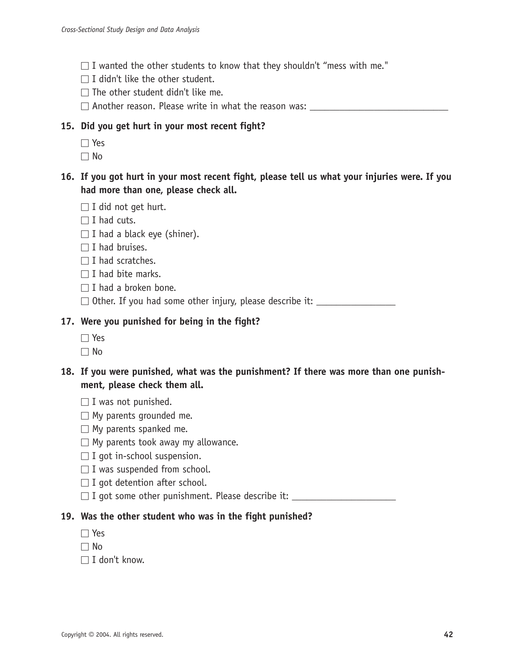- $\Box$  I wanted the other students to know that they shouldn't "mess with me."
- $\Box$  I didn't like the other student.
- $\Box$  The other student didn't like me.
- $\square$  Another reason. Please write in what the reason was:

## **15. Did you get hurt in your most recent fight?**

- Yes
- $\Box$  No
- **16. If you got hurt in your most recent fight, please tell us what your injuries were. If you had more than one, please check all.**
	- $\Box$  I did not get hurt.
	- $\Box$  I had cuts.
	- $\Box$  I had a black eye (shiner).
	- $\Box$  I had bruises.
	- $\Box$  I had scratches.
	- $\Box$  I had bite marks.
	- $\Box$  I had a broken bone.
	- $\Box$  Other. If you had some other injury, please describe it:

## **17. Were you punished for being in the fight?**

- $\Box$  Yes
- $\Box$  No
- **18. If you were punished, what was the punishment? If there was more than one punishment, please check them all.**
	- $\Box$  I was not punished.
	- $\Box$  My parents grounded me.
	- $\Box$  My parents spanked me.
	- $\Box$  My parents took away my allowance.
	- $\Box$  I got in-school suspension.
	- $\Box$  I was suspended from school.
	- $\Box$  I got detention after school.
	- $\Box$  I got some other punishment. Please describe it:

## **19. Was the other student who was in the fight punished?**

- $\Box$  Yes
- $\Box$  No
- $\Box$  I don't know.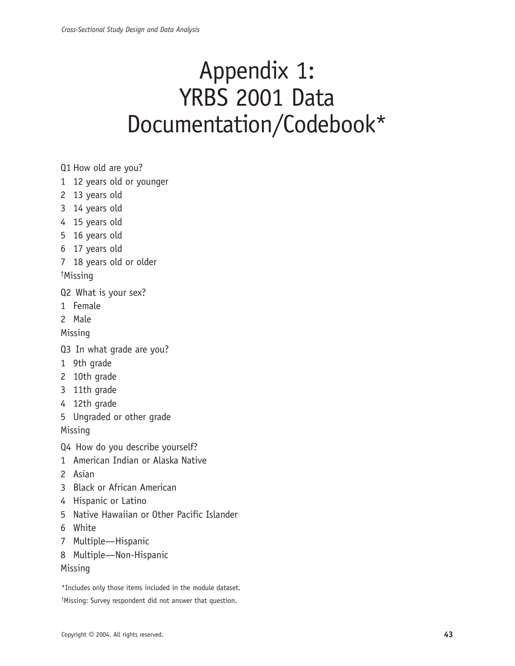## Appendix 1: YRBS 2001 Data Documentation/Codebook\*

Q1 How old are you?

- 1 12 years old or younger
- 2 13 years old
- 3 14 years old
- 4 15 years old
- 5 16 years old
- 6 17 years old
- 7 18 years old or older

† Missing

- Q2 What is your sex?
- 1 Female
- 2 Male

Missing

- Q3 In what grade are you?
- 1 9th grade
- 2 10th grade
- 3 11th grade
- 4 12th grade
- 5 Ungraded or other grade

Missing

Q4 How do you describe yourself?

- 1 American Indian or Alaska Native
- 2 Asian
- 3 Black or African American
- 4 Hispanic or Latino
- 5 Native Hawaiian or Other Pacific Islander
- 6 White
- 7 Multiple—Hispanic
- 8 Multiple—Non-Hispanic

### Missing

\*Includes only those items included in the module dataset. † Missing: Survey respondent did not answer that question.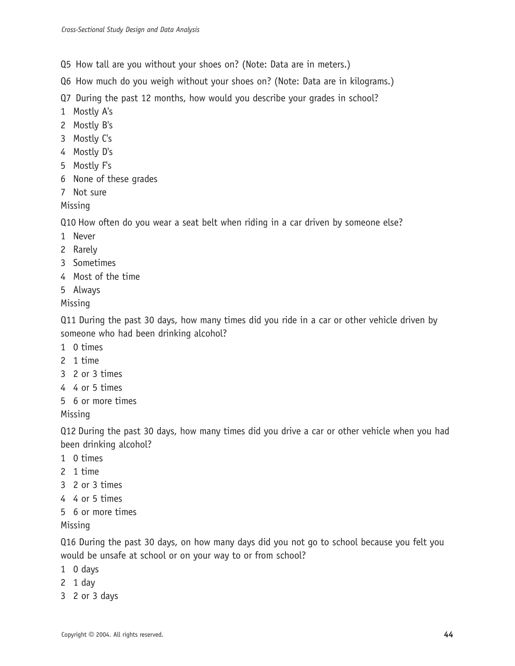Q5 How tall are you without your shoes on? (Note: Data are in meters.)

Q6 How much do you weigh without your shoes on? (Note: Data are in kilograms.)

Q7 During the past 12 months, how would you describe your grades in school?

- 1 Mostly A's
- 2 Mostly B's
- 3 Mostly C's
- 4 Mostly D's
- 5 Mostly F's
- 6 None of these grades
- 7 Not sure

Missing

Q10 How often do you wear a seat belt when riding in a car driven by someone else?

- 1 Never
- 2 Rarely
- 3 Sometimes
- 4 Most of the time
- 5 Always

Missing

Q11 During the past 30 days, how many times did you ride in a car or other vehicle driven by someone who had been drinking alcohol?

- 1 0 times
- 2 1 time
- 3 2 or 3 times
- 4 4 or 5 times
- 5 6 or more times

Missing

Q12 During the past 30 days, how many times did you drive a car or other vehicle when you had been drinking alcohol?

- 1 0 times
- 2 1 time
- 3 2 or 3 times
- 4 4 or 5 times
- 5 6 or more times

Missing

Q16 During the past 30 days, on how many days did you not go to school because you felt you would be unsafe at school or on your way to or from school?

- 1 0 days
- 2 1 day
- 3 2 or 3 days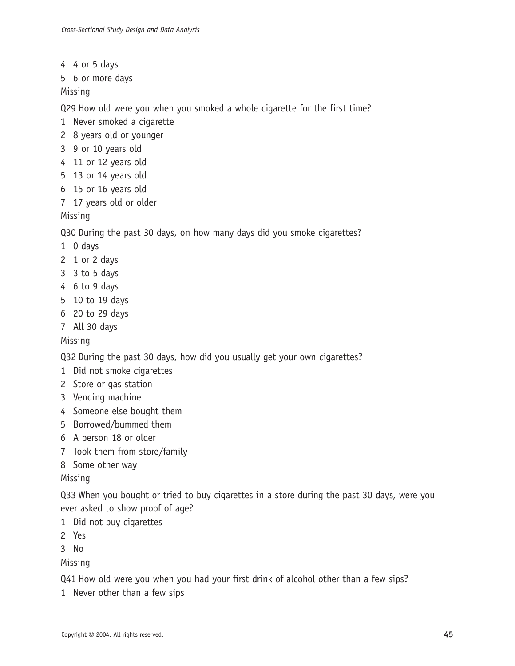- 4 4 or 5 days
- 5 6 or more days

Missing

Q29 How old were you when you smoked a whole cigarette for the first time?

- 1 Never smoked a cigarette
- 2 8 years old or younger
- 3 9 or 10 years old
- 4 11 or 12 years old
- 5 13 or 14 years old
- 6 15 or 16 years old
- 7 17 years old or older

Missing

Q30 During the past 30 days, on how many days did you smoke cigarettes?

- 1 0 days
- 2 1 or 2 days
- 3 3 to 5 days
- 4 6 to 9 days
- 5 10 to 19 days
- 6 20 to 29 days
- 7 All 30 days

Missing

Q32 During the past 30 days, how did you usually get your own cigarettes?

- 1 Did not smoke cigarettes
- 2 Store or gas station
- 3 Vending machine
- 4 Someone else bought them
- 5 Borrowed/bummed them
- 6 A person 18 or older
- 7 Took them from store/family
- 8 Some other way

Missing

Q33 When you bought or tried to buy cigarettes in a store during the past 30 days, were you ever asked to show proof of age?

1 Did not buy cigarettes

2 Yes

3 No

Missing

Q41 How old were you when you had your first drink of alcohol other than a few sips?

1 Never other than a few sips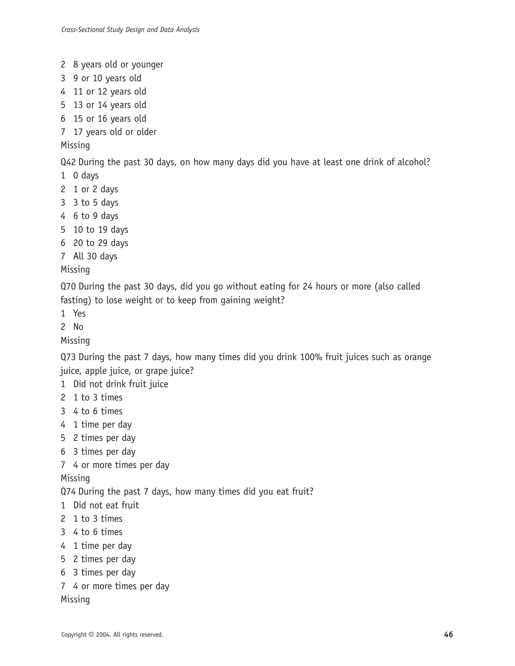- 2 8 years old or younger
- 3 9 or 10 years old
- 4 11 or 12 years old
- 5 13 or 14 years old
- 6 15 or 16 years old
- 7 17 years old or older

## Missing

Q42 During the past 30 days, on how many days did you have at least one drink of alcohol?

- 1 0 days
- 2 1 or 2 days
- 3 3 to 5 days
- 4 6 to 9 days
- 5 10 to 19 days
- 6 20 to 29 days
- 7 All 30 days

## Missing

Q70 During the past 30 days, did you go without eating for 24 hours or more (also called fasting) to lose weight or to keep from gaining weight?

1 Yes

2 No

Missing

Q73 During the past 7 days, how many times did you drink 100% fruit juices such as orange juice, apple juice, or grape juice?

- 1 Did not drink fruit juice
- 2 1 to 3 times
- 3 4 to 6 times
- 4 1 time per day
- 5 2 times per day
- 6 3 times per day
- 7 4 or more times per day

Missing

Q74 During the past 7 days, how many times did you eat fruit?

- 1 Did not eat fruit
- 2 1 to 3 times
- 3 4 to 6 times
- 4 1 time per day
- 5 2 times per day
- 6 3 times per day
- 7 4 or more times per day

Missing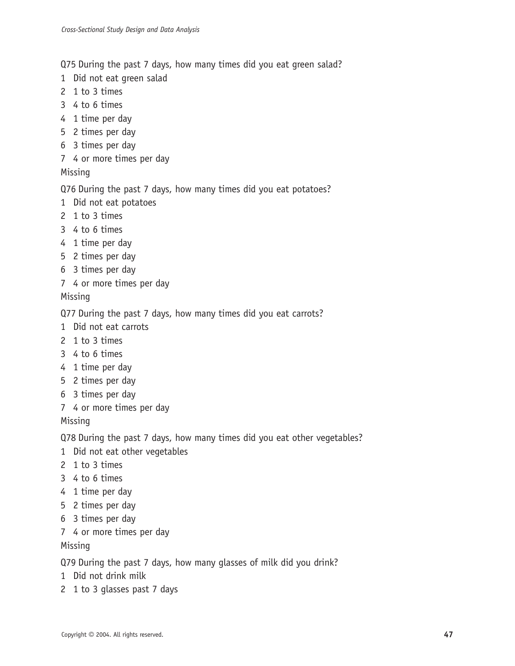Q75 During the past 7 days, how many times did you eat green salad?

- 1 Did not eat green salad
- 2 1 to 3 times
- 3 4 to 6 times
- 4 1 time per day
- 5 2 times per day
- 6 3 times per day
- 7 4 or more times per day

## Missing

## Q76 During the past 7 days, how many times did you eat potatoes?

- 1 Did not eat potatoes
- 2 1 to 3 times
- 3 4 to 6 times
- 4 1 time per day
- 5 2 times per day
- 6 3 times per day
- 7 4 or more times per day

## Missing

Q77 During the past 7 days, how many times did you eat carrots?

- 1 Did not eat carrots
- 2 1 to 3 times
- 3 4 to 6 times
- 4 1 time per day
- 5 2 times per day
- 6 3 times per day
- 7 4 or more times per day

Missing

Q78 During the past 7 days, how many times did you eat other vegetables?

- 1 Did not eat other vegetables
- 2 1 to 3 times
- 3 4 to 6 times
- 4 1 time per day
- 5 2 times per day
- 6 3 times per day
- 7 4 or more times per day

## Missing

Q79 During the past 7 days, how many glasses of milk did you drink?

- 1 Did not drink milk
- 2 1 to 3 glasses past 7 days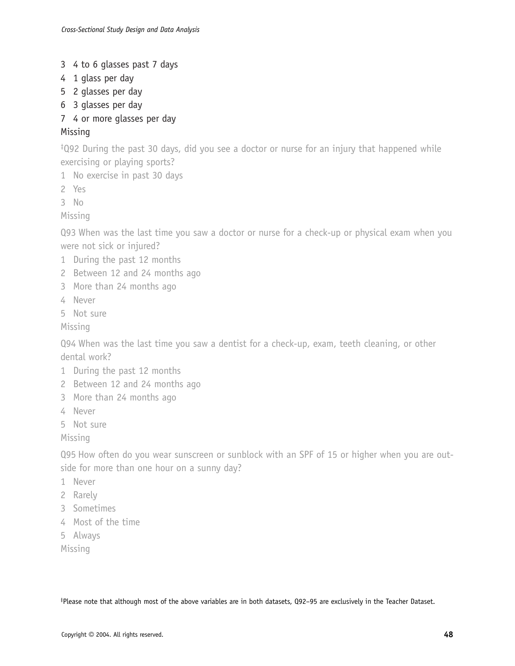- 3 4 to 6 glasses past 7 days
- 4 1 glass per day
- 5 2 glasses per day
- 6 3 glasses per day
- 7 4 or more glasses per day

## Missing

‡ Q92 During the past 30 days, did you see a doctor or nurse for an injury that happened while exercising or playing sports?

- 1 No exercise in past 30 days
- 2 Yes
- 3 No

Missing

Q93 When was the last time you saw a doctor or nurse for a check-up or physical exam when you were not sick or injured?

- 1 During the past 12 months
- 2 Between 12 and 24 months ago
- 3 More than 24 months ago
- 4 Never
- 5 Not sure

Missing

Q94 When was the last time you saw a dentist for a check-up, exam, teeth cleaning, or other dental work?

- 1 During the past 12 months
- 2 Between 12 and 24 months ago
- 3 More than 24 months ago
- 4 Never
- 5 Not sure

Missing

Q95 How often do you wear sunscreen or sunblock with an SPF of 15 or higher when you are outside for more than one hour on a sunny day?

- 1 Never
- 2 Rarely
- 3 Sometimes
- 4 Most of the time
- 5 Always

Missing

‡ Please note that although most of the above variables are in both datasets, Q92–95 are exclusively in the Teacher Dataset.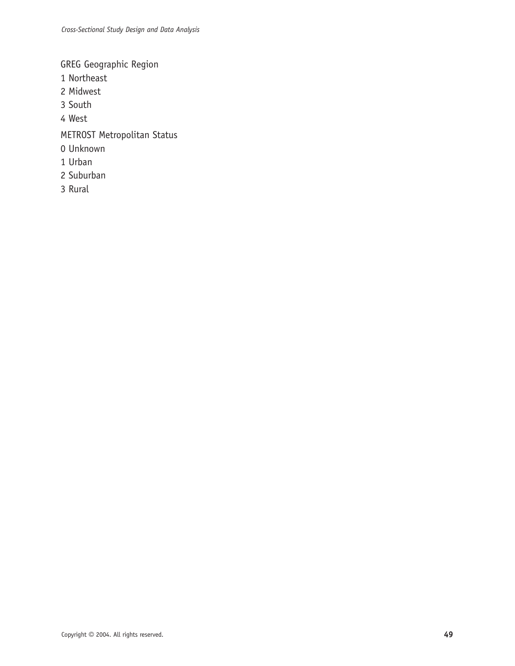GREG Geographic Region

- 1 Northeast
- 2 Midwest
- 3 South
- 4 West
- METROST Metropolitan Status
- 0 Unknown
- 1 Urban
- 2 Suburban
- 3 Rural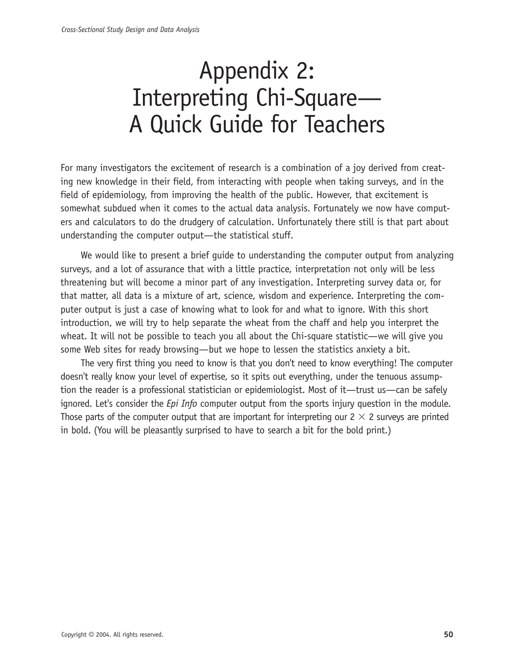## Appendix 2: Interpreting Chi-Square— A Quick Guide for Teachers

For many investigators the excitement of research is a combination of a joy derived from creating new knowledge in their field, from interacting with people when taking surveys, and in the field of epidemiology, from improving the health of the public. However, that excitement is somewhat subdued when it comes to the actual data analysis. Fortunately we now have computers and calculators to do the drudgery of calculation. Unfortunately there still is that part about understanding the computer output—the statistical stuff.

We would like to present a brief quide to understanding the computer output from analyzing surveys, and a lot of assurance that with a little practice, interpretation not only will be less threatening but will become a minor part of any investigation. Interpreting survey data or, for that matter, all data is a mixture of art, science, wisdom and experience. Interpreting the computer output is just a case of knowing what to look for and what to ignore. With this short introduction, we will try to help separate the wheat from the chaff and help you interpret the wheat. It will not be possible to teach you all about the Chi-square statistic—we will give you some Web sites for ready browsing—but we hope to lessen the statistics anxiety a bit.

The very first thing you need to know is that you don't need to know everything! The computer doesn't really know your level of expertise, so it spits out everything, under the tenuous assumption the reader is a professional statistician or epidemiologist. Most of it—trust us—can be safely ignored. Let's consider the *Epi Info* computer output from the sports injury question in the module. Those parts of the computer output that are important for interpreting our  $2 \times 2$  surveys are printed in bold. (You will be pleasantly surprised to have to search a bit for the bold print.)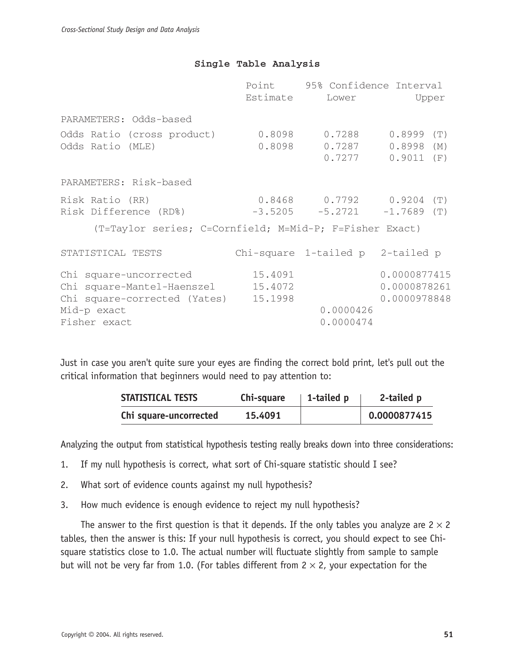### **Single Table Analysis**

|                                                                                                                             |                    | Point 95% Confidence Interval                         |                                                             |
|-----------------------------------------------------------------------------------------------------------------------------|--------------------|-------------------------------------------------------|-------------------------------------------------------------|
|                                                                                                                             | Estimate           |                                                       | Lower Upper                                                 |
| PARAMETERS: Odds-based                                                                                                      |                    |                                                       |                                                             |
| Odds Ratio (cross product)<br>Odds Ratio (MLE)                                                                              |                    | $0.8098$ $0.7288$ $0.8999$<br>0.8098 0.7287<br>0.7277 | (T)<br>$0.8998$ (M)<br>$0.9011$ (F)                         |
| PARAMETERS: Risk-based                                                                                                      |                    |                                                       |                                                             |
| Risk Ratio (RR)<br>Risk Difference (RD%)                                                                                    |                    |                                                       | $0.8468$ 0.7792 0.9204 (T)<br>$-3.5205 -5.2721 -1.7689$ (T) |
| (T=Taylor series; C=Cornfield; M=Mid-P; F=Fisher Exact)                                                                     |                    |                                                       |                                                             |
| STATISTICAL TESTS                                                                                                           |                    | Chi-square 1-tailed p 2-tailed p                      |                                                             |
| Chi square-uncorrected<br>Chi square-Mantel-Haenszel<br>Chi square-corrected (Yates) 15.1998<br>Mid-p exact<br>Fisher exact | 15.4091<br>15.4072 | 0.0000426<br>0.0000474                                | 0.0000877415<br>0.0000878261<br>0.0000978848                |
|                                                                                                                             |                    |                                                       |                                                             |

Just in case you aren't quite sure your eyes are finding the correct bold print, let's pull out the critical information that beginners would need to pay attention to:

| STATISTICAL TESTS      | Chi-square | 1-tailed p | 2-tailed p   |
|------------------------|------------|------------|--------------|
| Chi square-uncorrected | 15.4091    |            | 0.0000877415 |

Analyzing the output from statistical hypothesis testing really breaks down into three considerations:

- 1. If my null hypothesis is correct, what sort of Chi-square statistic should I see?
- 2. What sort of evidence counts against my null hypothesis?
- 3. How much evidence is enough evidence to reject my null hypothesis?

The answer to the first question is that it depends. If the only tables you analyze are  $2 \times 2$ tables, then the answer is this: If your null hypothesis is correct, you should expect to see Chisquare statistics close to 1.0. The actual number will fluctuate slightly from sample to sample but will not be very far from 1.0. (For tables different from  $2 \times 2$ , your expectation for the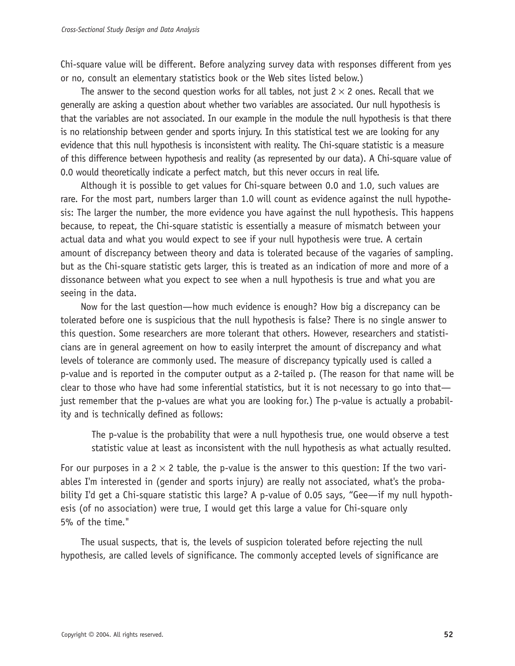Chi-square value will be different. Before analyzing survey data with responses different from yes or no, consult an elementary statistics book or the Web sites listed below.)

The answer to the second question works for all tables, not just  $2 \times 2$  ones. Recall that we generally are asking a question about whether two variables are associated. Our null hypothesis is that the variables are not associated. In our example in the module the null hypothesis is that there is no relationship between gender and sports injury. In this statistical test we are looking for any evidence that this null hypothesis is inconsistent with reality. The Chi-square statistic is a measure of this difference between hypothesis and reality (as represented by our data). A Chi-square value of 0.0 would theoretically indicate a perfect match, but this never occurs in real life.

Although it is possible to get values for Chi-square between 0.0 and 1.0, such values are rare. For the most part, numbers larger than 1.0 will count as evidence against the null hypothesis: The larger the number, the more evidence you have against the null hypothesis. This happens because, to repeat, the Chi-square statistic is essentially a measure of mismatch between your actual data and what you would expect to see if your null hypothesis were true. A certain amount of discrepancy between theory and data is tolerated because of the vagaries of sampling. but as the Chi-square statistic gets larger, this is treated as an indication of more and more of a dissonance between what you expect to see when a null hypothesis is true and what you are seeing in the data.

Now for the last question—how much evidence is enough? How big a discrepancy can be tolerated before one is suspicious that the null hypothesis is false? There is no single answer to this question. Some researchers are more tolerant that others. However, researchers and statisticians are in general agreement on how to easily interpret the amount of discrepancy and what levels of tolerance are commonly used. The measure of discrepancy typically used is called a p-value and is reported in the computer output as a 2-tailed p. (The reason for that name will be clear to those who have had some inferential statistics, but it is not necessary to go into that just remember that the p-values are what you are looking for.) The p-value is actually a probability and is technically defined as follows:

The p-value is the probability that were a null hypothesis true, one would observe a test statistic value at least as inconsistent with the null hypothesis as what actually resulted.

For our purposes in a  $2 \times 2$  table, the p-value is the answer to this question: If the two variables I'm interested in (gender and sports injury) are really not associated, what's the probability I'd get a Chi-square statistic this large? A p-value of 0.05 says, "Gee—if my null hypothesis (of no association) were true, I would get this large a value for Chi-square only 5% of the time."

The usual suspects, that is, the levels of suspicion tolerated before rejecting the null hypothesis, are called levels of significance. The commonly accepted levels of significance are